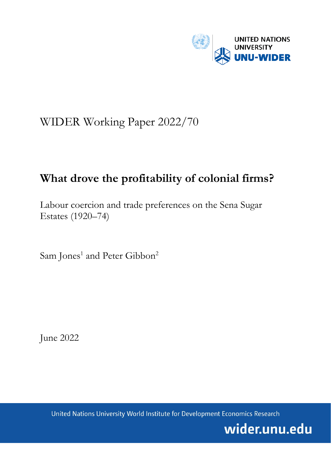

# WIDER Working Paper 2022/70

## **What drove the profitability of colonial firms?**

Labour coercion and trade preferences on the Sena Sugar Estates (1920–74)

Sam Jones<sup>1</sup> and Peter Gibbon<sup>2</sup>

June 2022

United Nations University World Institute for Development Economics Research

wider.unu.edu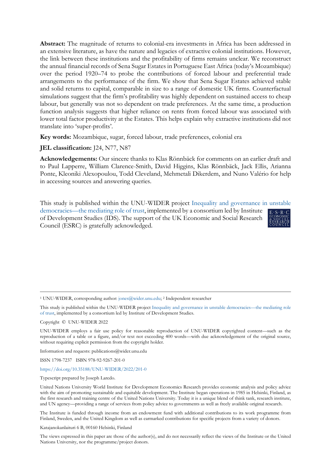**Abstract:** The magnitude of returns to colonial-era investments in Africa has been addressed in an extensive literature, as have the nature and legacies of extractive colonial institutions. However, the link between these institutions and the profitability of firms remains unclear. We reconstruct the annual financial records of Sena Sugar Estates in Portuguese East Africa (today's Mozambique) over the period 1920–74 to probe the contributions of forced labour and preferential trade arrangements to the performance of the firm. We show that Sena Sugar Estates achieved stable and solid returns to capital, comparable in size to a range of domestic UK firms. Counterfactual simulations suggest that the firm's profitability was highly dependent on sustained access to cheap labour, but generally was not so dependent on trade preferences. At the same time, a production function analysis suggests that higher reliance on rents from forced labour was associated with lower total factor productivity at the Estates. This helps explain why extractive institutions did not translate into 'super-profits'.

**Key words:** Mozambique, sugar, forced labour, trade preferences, colonial era

**JEL classification:** J24, N77, N87

**Acknowledgements:** Our sincere thanks to Klas Rönnbäck for comments on an earlier draft and to Paul Lapperre, William Clarence-Smith, David Higgins, Klas Rönnbäck, Jack Ellis, Arianna Ponte, Kleoniki Alexopoulou, Todd Cleveland, Mehmetali Dikerdem, and Nuno Valério for help in accessing sources and answering queries.

This study is published within the UNU-WIDER project [Inequality and governance in unstable](https://www.wider.unu.edu/node/236971)  [democracies—the mediating role of trust,](https://www.wider.unu.edu/node/236971) implemented by a consortium led by Institute of Development Studies (IDS). The support of the UK Economic and Social Research Council (ESRC) is gratefully acknowledged.

<sup>1</sup> UNU-WIDER, corresponding author: [jones@wider.unu.edu;](mailto:jones@wider.unu.edu) <sup>2</sup> Independent researcher

This study is published within the UNU-WIDER projec[t Inequality and governance in unstable democracies—the mediating role](https://www.wider.unu.edu/node/236971)  [of trust,](https://www.wider.unu.edu/node/236971) implemented by a consortium led by Institute of Development Studies.

Copyright © UNU-WIDER 2022

UNU-WIDER employs a fair use policy for reasonable reproduction of UNU-WIDER copyrighted content—such as the reproduction of a table or a figure, and/or text not exceeding 400 words—with due acknowledgement of the original source, without requiring explicit permission from the copyright holder.

Information and requests: publications@wider.unu.edu

ISSN 1798-7237 ISBN 978-92-9267-201-0

<https://doi.org/10.35188/UNU-WIDER/2022/201-0>

Typescript prepared by Joseph Laredo.

United Nations University World Institute for Development Economics Research provides economic analysis and policy advice with the aim of promoting sustainable and equitable development. The Institute began operations in 1985 in Helsinki, Finland, as the first research and training centre of the United Nations University. Today it is a unique blend of think tank, research institute, and UN agency—providing a range of services from policy advice to governments as well as freely available original research.

The Institute is funded through income from an endowment fund with additional contributions to its work programme from Finland, Sweden, and the United Kingdom as well as earmarked contributions for specific projects from a variety of donors.

Katajanokanlaituri 6 B, 00160 Helsinki, Finland

The views expressed in this paper are those of the author(s), and do not necessarily reflect the views of the Institute or the United Nations University, nor the programme/project donors.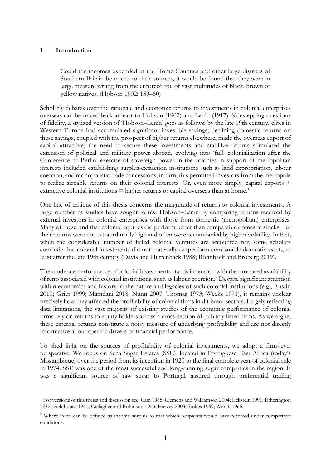### **1 Introduction**

Could the incomes expended in the Home Counties and other large districts of Southern Britain be traced to their sources, it would be found that they were in large measure wrung from the enforced toil of vast multitudes of black, brown or yellow natives. (Hobson 1902: 159–60)

Scholarly debates over the rationale and economic returns to investments in colonial enterprises overseas can be traced back at least to Hobson (1902) and Lenin (1917). Sidestepping questions of fidelity, a stylized version of 'Hobson–Lenin' goes as follows: by the late 19th century, elites in Western Europe had accumulated significant investible savings; declining domestic returns on these savings, coupled with the prospect of higher returns elsewhere, made the overseas export of capital attractive; the need to secure these investments and stabilize returns stimulated the extension of political and military power abroad, evolving into 'full' colonialization after the Conference of Berlin; exercise of sovereign power in the colonies in support of metropolitan interests included establishing surplus-extraction institutions such as land expropriation, labour coercion, and monopolistic trade concessions; in turn, this permitted investors from the metropole to realize sizeable returns on their colonial interests. Or, even more simply: capital exports + extractive colonial institutions  $=$  higher returns to capital overseas than at home.<sup>[1](#page-2-0)</sup>

One line of critique of this thesis concerns the magnitude of returns to colonial investments. A large number of studies have sought to test Hobson–Lenin by comparing returns received by external investors in colonial enterprises with those from domestic (metropolitan) enterprises. Many of these find that colonial equities did perform better than comparable domestic stocks, but their returns were not extraordinarily high and often were accompanied by higher volatility. In fact, when the considerable number of failed colonial ventures are accounted for, some scholars conclude that colonial investments did not materially outperform comparable domestic assets, at least after the late 19th century (Davis and Huttenback 1988; Rönnbäck and Broberg 2019).

The moderate performance of colonial investments stands in tension with the proposed availability of rents associated with colonial institutions, such as labour coercion.[2](#page-2-1) Despite significant attention within economics and history to the nature and legacies of such colonial institutions (e.g., Austin 2010; Grier 1999; Mamdani 2018; Nunn 2007; Thomas 1973; Weeks 1971), it remains unclear precisely how they affected the profitability of colonial firms in different sectors. Largely reflecting data limitations, the vast majority of existing studies of the economic performance of colonial firms rely on returns to equity holders across a cross-section of publicly listed firms. As we argue, these external returns constitute a noisy measure of underlying profitability and are not directly informative about specific drivers of financial performance.

To shed light on the sources of profitability of colonial investments, we adopt a firm-level perspective. We focus on Sena Sugar Estates (SSE), located in Portuguese East Africa (today's Mozambique) over the period from its inception in 1920 to the final complete year of colonial rule in 1974. SSE was one of the most successful and long-running sugar companies in the region. It was a significant source of raw sugar to Portugal, assured through preferential trading

<span id="page-2-0"></span><sup>1</sup> For versions of this thesis and discussion see: Cain 1985; Clemens and Williamson 2004; Eckstein 1991; Etherington 1982; Fieldhouse 1961; Gallagher and Robinson 1953; Harvey 2003; Stokes 1969; Winch 1965.

<span id="page-2-1"></span><sup>&</sup>lt;sup>2</sup> Where 'rent' can be defined as income surplus to that which recipients would have received under competitive conditions.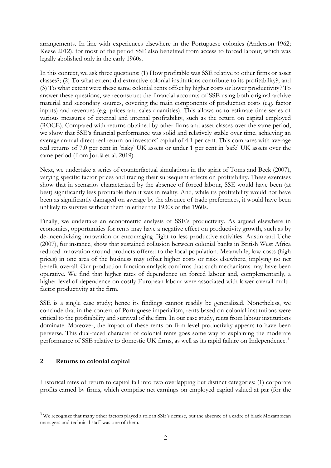arrangements. In line with experiences elsewhere in the Portuguese colonies (Anderson 1962; Keese 2012), for most of the period SSE also benefited from access to forced labour, which was legally abolished only in the early 1960s.

In this context, we ask three questions: (1) How profitable was SSE relative to other firms or asset classes?; (2) To what extent did extractive colonial institutions contribute to its profitability?; and (3) To what extent were these same colonial rents offset by higher costs or lower productivity? To answer these questions, we reconstruct the financial accounts of SSE using both original archive material and secondary sources, covering the main components of production costs (e.g. factor inputs) and revenues (e.g. prices and sales quantities). This allows us to estimate time series of various measures of external and internal profitability, such as the return on capital employed (ROCE). Compared with returns obtained by other firms and asset classes over the same period, we show that SSE's financial performance was solid and relatively stable over time, achieving an average annual direct real return on investors' capital of 4.1 per cent. This compares with average real returns of 7.0 per cent in 'risky' UK assets or under 1 per cent in 'safe' UK assets over the same period (from Jordà et al. 2019).

Next, we undertake a series of counterfactual simulations in the spirit of Toms and Beck (2007), varying specific factor prices and tracing their subsequent effects on profitability. These exercises show that in scenarios characterized by the absence of forced labour, SSE would have been (at best) significantly less profitable than it was in reality. And, while its profitability would not have been as significantly damaged on average by the absence of trade preferences, it would have been unlikely to survive without them in either the 1930s or the 1960s.

Finally, we undertake an econometric analysis of SSE's productivity. As argued elsewhere in economics, opportunities for rents may have a negative effect on productivity growth, such as by de-incentivizing innovation or encouraging flight to less productive activities. Austin and Uche (2007), for instance, show that sustained collusion between colonial banks in British West Africa reduced innovation around products offered to the local population. Meanwhile, low costs (high prices) in one area of the business may offset higher costs or risks elsewhere, implying no net benefit overall. Our production function analysis confirms that such mechanisms may have been operative. We find that higher rates of dependence on forced labour and, complementarily, a higher level of dependence on costly European labour were associated with lower overall multifactor productivity at the firm.

SSE is a single case study; hence its findings cannot readily be generalized. Nonetheless, we conclude that in the context of Portuguese imperialism, rents based on colonial institutions were critical to the profitability and survival of the firm. In our case study, rents from labour institutions dominate. Moreover, the impact of these rents on firm-level productivity appears to have been perverse. This dual-faced character of colonial rents goes some way to explaining the moderate performance of SSE relative to domestic UK firms, as well as its rapid failure on Independence.<sup>[3](#page-3-0)</sup>

## **2 Returns to colonial capital**

Historical rates of return to capital fall into two overlapping but distinct categories: (1) corporate profits earned by firms, which comprise net earnings on employed capital valued at par (for the

<span id="page-3-0"></span><sup>&</sup>lt;sup>3</sup> We recognize that many other factors played a role in SSE's demise, but the absence of a cadre of black Mozambican managers and technical staff was one of them.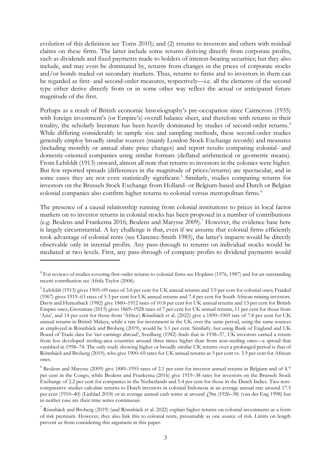evolution of this definition see Toms 2010); and (2) returns to investors and others with residual claims on these firms. The latter include some returns deriving directly from corporate profits, such as dividends and fixed payments made to holders of interest-bearing securities; but they also include, and may even be dominated by, returns from changes in the prices of corporate stocks and/or bonds traded on secondary markets. Thus, returns to firms and to investors in them can be regarded as first- and second-order measures, respectively—i.e. all the elements of the second type either derive directly from or in some other way reflect the actual or anticipated future magnitude of the first.

Perhaps as a result of British economic historiography's pre-occupation since Cairncross (1935) with foreign investment's (or Empire's) overall balance sheet, and therefore with returns in their totality, the scholarly literature has been heavily dominated by studies of second-order returns.<sup>[4](#page-4-0)</sup> While differing considerably in sample size and sampling methods, these second-order studies generally employ broadly similar sources (mainly London Stock Exchange records) and measures (including monthly or annual share price changes) and report results comparing colonial- and domestic-oriented companies using similar formats (deflated arithmetical or geometric means). From Lehfeldt (1913) onward, almost all note that returns to investors in the colonies were higher. But few reported spreads (differences in the magnitude of prices/returns) are spectacular, and in some cases they are not even statistically significant.<sup>[5](#page-4-1)</sup> Similarly, studies comparing returns for investors on the Brussels Stock Exchange from Holland- or Belgium-based and Dutch or Belgian colonial companies also confirm higher returns to colonial versus metropolitan firms.<sup>[6](#page-4-2)</sup>

The presence of a causal relationship running from colonial institutions to prices in local factor markets on to investor returns in colonial stocks has been proposed in a number of contributions (e.g. Beulens and Frankema 2016; Beulens and Marysse 2009).[7](#page-4-3) However, the evidence base here is largely circumstantial. A key challenge is that, even if we assume that colonial firms efficiently took advantage of colonial rents (see Clarence-Smith 1985), the latter's impacts would be directly observable only in internal profits. Any pass-through to returns on individual stocks would be mediated at two levels. First, any pass-through of company profits to dividend payments would

<span id="page-4-0"></span><sup>&</sup>lt;sup>4</sup> For reviews of studies covering first-order returns to colonial firms see Hopkins (1976, 1987) and for an outstanding recent contribution see Afrifa Taylor (2006).

<span id="page-4-1"></span><sup>5</sup> Lehfeldt (1913) gives 1905–09 rates of 3.6 per cent for UK annual returns and 3.9 per cent for colonial ones; Frankel (1967) gives 1919–63 rates of 5.3 per cent for UK annual returns and 7.4 per cent for South African mining investors. Davis and Huttenback (1982) give 1860–1912 rates of 10.8 per cent for UK annual returns and 13 per cent for British Empire ones; Grossman (2015) gives 1869–1928 rates of 7 per cent for UK annual returns, 11 per cent for those from 'Asia', and 14 per cent for those from 'Africa'; Rönnbäck et al. (2022) give a 1890–1969 rate of 7.8 per cent for UK annual returns in British Malaya, while a rate for investment in the UK over the same period, using the same sources as employed in Rönnbäck and Broberg (2019), would be 5.1 per cent. Similarly, but using Bank of England and UK Board of Trade data for 'net earnings abroad', Svedberg (1982) finds that in 1938–57, UK investors earned a return from less developed sterling-area countries around three times higher than from non-sterling ones—a spread that vanished in 1958–74. The only study showing higher or broadly similar UK returns over a prolonged period is that of Rönnbäck and Broberg (2019), who give 1900–69 rates for UK annual returns as 5 per cent vs. 3.9 per cent for African ones.

<span id="page-4-2"></span><sup>6</sup> Beulens and Marysse (2009) give 1889–1955 rates of 2.1 per cent for investor annual returns in Belgium and of 4.7 per cent in the Congo, while Beulens and Frankema (2016) give 1919–38 rates for investors on the Brussels Stock Exchange of 2.2 per cent for companies in the Netherlands and 5.4 per cent for those in the Dutch Indies. Two noncomparative studies calculate returns to Dutch investors in colonial Indonesia at an average annual rate around 17.5 per cent (1910–40) (Linblad 2018) or in average annual cash terms at around  $f$ 9m (1926–38) (van der Eng 1998) but in neither case are their time series continuous.

<span id="page-4-3"></span> $\frac{7}{7}$  Rönnbäck and Broberg (2019) (and Rönnbäck et al. 2022) explain higher returns on colonial investments as a form of risk premium. However, they also link this to colonial rents, presumably as one source of risk. Limits on length prevent us from considering this argument in this paper.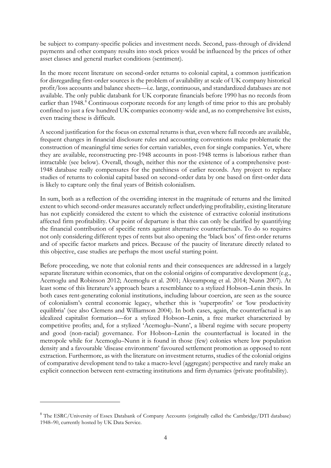be subject to company-specific policies and investment needs. Second, pass-through of dividend payments and other company results into stock prices would be influenced by the prices of other asset classes and general market conditions (sentiment).

In the more recent literature on second-order returns to colonial capital, a common justification for disregarding first-order sources is the problem of availability at scale of UK company historical profit/loss accounts and balance sheets—i.e. large, continuous, and standardized databases are not available. The only public databank for UK corporate financials before 1990 has no records from earlier than 194[8](#page-5-0).<sup>8</sup> Continuous corporate records for any length of time prior to this are probably confined to just a few hundred UK companies economy-wide and, as no comprehensive list exists, even tracing these is difficult.

A second justification for the focus on external returns is that, even where full records are available, frequent changes in financial disclosure rules and accounting conventions make problematic the construction of meaningful time series for certain variables, even for single companies. Yet, where they are available, reconstructing pre-1948 accounts in post-1948 terms is laborious rather than intractable (see below). Overall, though, neither this nor the existence of a comprehensive post-1948 database really compensates for the patchiness of earlier records. Any project to replace studies of returns to colonial capital based on second-order data by one based on first-order data is likely to capture only the final years of British colonialism.

In sum, both as a reflection of the overriding interest in the magnitude of returns and the limited extent to which second-order measures accurately reflect underlying profitability, existing literature has not explicitly considered the extent to which the existence of extractive colonial institutions affected firm profitability. Our point of departure is that this can only be clarified by quantifying the financial contribution of specific rents against alternative counterfactuals. To do so requires not only considering different types of rents but also opening the 'black box' of first-order returns and of specific factor markets and prices. Because of the paucity of literature directly related to this objective, case studies are perhaps the most useful starting point.

Before proceeding, we note that colonial rents and their consequences are addressed in a largely separate literature within economics, that on the colonial origins of comparative development (e.g., Acemoglu and Robinson 2012; Acemoglu et al. 2001; Akyeampong et al. 2014; Nunn 2007). At least some of this literature's approach bears a resemblance to a stylized Hobson–Lenin thesis. In both cases rent-generating colonial institutions, including labour coercion, are seen as the source of colonialism's central economic legacy, whether this is 'superprofits' or 'low productivity equilibria' (see also Clemens and Williamson 2004). In both cases, again, the counterfactual is an idealized capitalist formation—for a stylized Hobson–Lenin, a free market characterized by competitive profits; and, for a stylized 'Acemoglu–Nunn', a liberal regime with secure property and good (non-racial) governance. For Hobson–Lenin the counterfactual is located in the metropole while for Acemoglu–Nunn it is found in those (few) colonies where low population density and a favourable 'disease environment' favoured settlement promotion as opposed to rent extraction. Furthermore, as with the literature on investment returns, studies of the colonial origins of comparative development tend to take a macro-level (aggregate) perspective and rarely make an explicit connection between rent-extracting institutions and firm dynamics (private profitability).

<span id="page-5-0"></span><sup>&</sup>lt;sup>8</sup> The ESRC/University of Essex Databank of Company Accounts (originally called the Cambridge/DTI database) 1948–90, currently hosted by UK Data Service.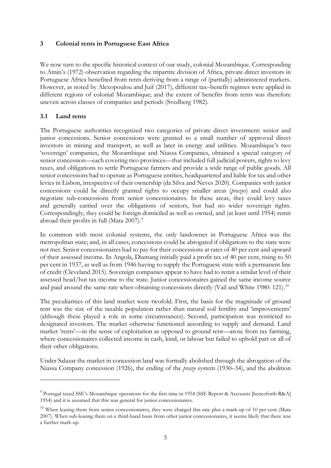### **3 Colonial rents in Portuguese East Africa**

We now turn to the specific historical context of our study, colonial Mozambique. Corresponding to Amin's (1972) observation regarding the tripartite division of Africa, private direct investors in Portuguese Africa benefited from rents deriving from a range of (partially) administered markets. However, as noted by Alexopoulou and Juif (2017), different tax–benefit regimes were applied in different regions of colonial Mozambique; and the extent of benefits from rents was therefore uneven across classes of companies and periods (Svedberg 1982).

## **3.1 Land rents**

The Portuguese authorities recognized two categories of private direct investment: senior and junior concessions. Senior concessions were granted to a small number of approved direct investors in mining and transport, as well as later in energy and utilities. Mozambique's two 'sovereign' companies, the Mozambique and Niassa Companies, obtained a special category of senior concession—each covering two provinces—that included full judicial powers, rights to levy taxes, and obligations to settle Portuguese farmers and provide a wide range of public goods. All senior concessions had to operate as Portuguese entities, headquartered and liable for tax and other levies in Lisbon, irrespective of their ownership (da Silva and Neves 2020). Companies with junior concessions could be directly granted rights to occupy smaller areas (*prazos*) and could also negotiate sub-concessions from senior concessionaires. In these areas, they could levy taxes and generally carried over the obligations of seniors, but had no wider sovereign rights. Correspondingly, they could be foreign domiciled as well as owned, and (at least until 1954) remit abroad their profits in full (Mata 2007).<sup>[9](#page-6-0)</sup>

In common with most colonial systems, the only landowner in Portuguese Africa was the metropolitan state; and, in all cases, concessions could be abrogated if obligations to the state were not met. Senior concessionaires had to pay for their concessions at rates of 40 per cent and upward of their assessed income. In Angola, Diamang initially paid a profit tax of 40 per cent, rising to 50 per cent in 1937, as well as from 1946 having to supply the Portuguese state with a permanent line of credit (Cleveland 2015). Sovereign companies appear to have had to remit a similar level of their assessed head/hut tax income to the state. Junior concessionaires gained the same income source and paid around the same rate when obtaining concessions directly (Vail and White 1980: 121).<sup>[10](#page-6-1)</sup>

The peculiarities of this land market were twofold. First, the basis for the magnitude of ground rent was the size of the taxable population rather than natural soil fertility and 'improvements' (although these played a role in some circumstances). Second, participation was restricted to designated investors. The market otherwise functioned according to supply and demand. Land market 'rents'—in the sense of exploitation as opposed to ground rent—arose from tax farming, where concessionaires collected income in cash, kind, or labour but failed to uphold part or all of their other obligations.

Under Salazar the market in concession land was formally abolished through the abrogation of the Niassa Company concession (1926), the ending of the *prazo* system (1930–34), and the abolition

<span id="page-6-0"></span><sup>&</sup>lt;sup>9</sup> Portugal taxed SSE's Mozambique operations for the first time in 1954 (SSE Report & Accounts [henceforth R&A] 1954) and it is assumed that this was general for junior concessionaires.

<span id="page-6-1"></span> $10$  When leasing them from senior concessionaires, they were charged this rate plus a mark-up of 10 per cent (Mata 2007). When sub-leasing them on a third-hand basis from other junior concessionaires, it seems likely that there was a further mark-up.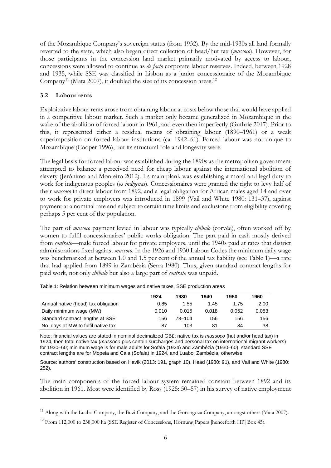of the Mozambique Company's sovereign status (from 1932). By the mid-1930s all land formally reverted to the state, which also began direct collection of head/hut tax (*mussoco*). However, for those participants in the concession land market primarily motivated by access to labour, concessions were allowed to continue as *de facto* corporate labour reserves. Indeed, between 1928 and 1935, while SSE was classified in Lisbon as a junior concessionaire of the Mozambique Company<sup>[11](#page-7-0)</sup> (Mata 2007), it doubled the size of its concession areas.<sup>[12](#page-7-1)</sup>

## **3.2 Labour rents**

Exploitative labour rents arose from obtaining labour at costs below those that would have applied in a competitive labour market. Such a market only became generalized in Mozambique in the wake of the abolition of forced labour in 1961, and even then imperfectly (Guthrie 2017). Prior to this, it represented either a residual means of obtaining labour (1890–1961) or a weak superimposition on forced labour institutions (ca. 1942–61). Forced labour was not unique to Mozambique (Cooper 1996), but its structural role and longevity were.

The legal basis for forced labour was established during the 1890s as the metropolitan government attempted to balance a perceived need for cheap labour against the international abolition of slavery (Jerónimo and Monteiro 2012). Its main plank was establishing a moral and legal duty to work for indigenous peoples (*os indígenas*). Concessionaires were granted the right to levy half of their *mussoco* in direct labour from 1892, and a legal obligation for African males aged 14 and over to work for private employers was introduced in 1899 (Vail and White 1980: 131–37), against payment at a nominal rate and subject to certain time limits and exclusions from eligibility covering perhaps 5 per cent of the population.

The part of *mussoco* payment levied in labour was typically *chibalo* (corvée), often worked off by women to fulfil concessionaires' public works obligation. The part paid in cash mostly derived from *contrato*—male forced labour for private employers, until the 1940s paid at rates that district administrations fixed against *mussoco*. In the 1926 and 1930 Labour Codes the minimum daily wage was benchmarked at between 1.0 and 1.5 per cent of the annual tax liability (see Table 1)—a rate that had applied from 1899 in Zambézia (Serra 1980). Thus, given standard contract lengths for paid work, not only *chibalo* but also a large part of *contrato* was unpaid.

|                                     | 1924  | 1930   | 1940  | 1950  | 1960  |
|-------------------------------------|-------|--------|-------|-------|-------|
| Annual native (head) tax obligation | 0.85  | 1.55   | 1.45  | 1.75  | 2.00  |
| Daily minimum wage (MW)             | 0.010 | 0.015  | 0.018 | 0.052 | 0.053 |
| Standard contract lengths at SSE    | 156   | 78–104 | 156   | 156   | 156   |
| No. days at MW to fulfil native tax | 87    | 103    | 81    | 34    | 38    |

Table 1: Relation between minimum wages and native taxes, SSE production areas

Note: financial values are stated in nominal decimalized GB£; native tax is *mussoco* (hut and/or head tax) in 1924, then total native tax (*mussoco* plus certain surcharges and personal tax on international migrant workers) for 1930–60; minimum wage is for male adults for Sofala (1924) and Zambézia (1930–60); standard SSE contract lengths are for Mopeia and Caia (Sofala) in 1924, and Luabo, Zambézia, otherwise.

Source: authors' construction based on Havik (2013: 191, graph 10), Head (1980: 91), and Vail and White (1980: 252).

The main components of the forced labour system remained constant between 1892 and its abolition in 1961. Most were identified by Ross (1925: 50–57) in his survey of native employment

<span id="page-7-0"></span><sup>&</sup>lt;sup>11</sup> Along with the Luabo Company, the Buzi Company, and the Gorongoza Company, amongst others (Mata 2007).

<span id="page-7-1"></span><sup>&</sup>lt;sup>12</sup> From 112,000 to 238,000 ha (SSE Register of Concessions, Hornung Papers [henceforth HP] Box 45).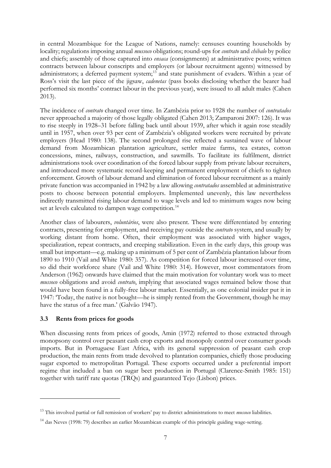in central Mozambique for the League of Nations, namely: censuses counting households by locality; regulations imposing annual *mussoco* obligations; round-ups for *contrato* and *chibalo* by police and chiefs; assembly of those captured into *ensaca* (consignments) at administrative posts; written contracts between labour conscripts and employers (or labour recruitment agents) witnessed by administrators; a deferred payment system;<sup>[13](#page-8-0)</sup> and state punishment of evaders. Within a year of Ross's visit the last piece of the jigsaw, *cadenetas* (pass books disclosing whether the bearer had performed six months' contract labour in the previous year), were issued to all adult males (Cahen 2013).

The incidence of *contrato* changed over time. In Zambézia prior to 1928 the number of *contratados* never approached a majority of those legally obligated (Cahen 2013; Zamparoni 2007: 126). It was to rise steeply in 1928–31 before falling back until about 1939, after which it again rose steadily until in 1957, when over 93 per cent of Zambézia's obligated workers were recruited by private employers (Head 1980: 138). The second prolonged rise reflected a sustained wave of labour demand from Mozambican plantation agriculture, settler maize farms, tea estates, cotton concessions, mines, railways, construction, and sawmills. To facilitate its fulfilment, district administrations took over coordination of the forced labour supply from private labour recruiters, and introduced more systematic record-keeping and permanent employment of chiefs to tighten enforcement. Growth of labour demand and elimination of forced labour recruitment as a mainly private function was accompanied in 1942 by a law allowing *contratados* assembled at administrative posts to choose between potential employers. Implemented unevenly, this law nevertheless indirectly transmitted rising labour demand to wage levels and led to minimum wages now being set at levels calculated to dampen wage competition.<sup>[14](#page-8-1)</sup>

Another class of labourers, *voluntários*, were also present. These were differentiated by entering contracts, presenting for employment, and receiving pay outside the *contrato* system, and usually by working distant from home. Often, their employment was associated with higher wages, specialization, repeat contracts, and creeping stabilization. Even in the early days, this group was small but important—e.g. making up a minimum of 5 per cent of Zambézia plantation labour from 1890 to 1910 (Vail and White 1980: 357). As competition for forced labour increased over time, so did their workforce share (Vail and White 1980: 314). However, most commentators from Anderson (1962) onwards have claimed that the main motivation for voluntary work was to meet *mussoco* obligations and avoid *contrato*, implying that associated wages remained below those that would have been found in a fully-free labour market. Essentially, as one colonial insider put it in 1947: 'Today, the native is not bought—he is simply rented from the Government, though he may have the status of a free man.' (Galvão 1947).

### **3.3 Rents from prices for goods**

When discussing rents from prices of goods, Amin (1972) referred to those extracted through monopsony control over peasant cash crop exports and monopoly control over consumer goods imports. But in Portuguese East Africa, with its general suppression of peasant cash crop production, the main rents from trade devolved to plantation companies, chiefly those producing sugar exported to metropolitan Portugal. These exports occurred under a preferential import regime that included a ban on sugar beet production in Portugal (Clarence-Smith 1985: 151) together with tariff rate quotas (TRQs) and guaranteed Tejo (Lisbon) prices.

<span id="page-8-0"></span><sup>13</sup> This involved partial or full remission of workers' pay to district administrations to meet *mussoco* liabilities.

<span id="page-8-1"></span><sup>14</sup> das Neves (1998: 79) describes an earlier Mozambican example of this principle guiding wage-setting.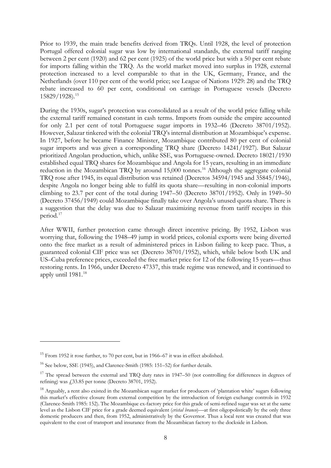Prior to 1939, the main trade benefits derived from TRQs. Until 1928, the level of protection Portugal offered colonial sugar was low by international standards, the external tariff ranging between 2 per cent (1920) and 62 per cent (1925) of the world price but with a 50 per cent rebate for imports falling within the TRQ. As the world market moved into surplus in 1928, external protection increased to a level comparable to that in the UK, Germany, France, and the Netherlands (over 110 per cent of the world price; see League of Nations 1929: 28) and the TRQ rebate increased to 60 per cent, conditional on carriage in Portuguese vessels (Decreto 15829/1928).[15](#page-9-0)

During the 1930s, sugar's protection was consolidated as a result of the world price falling while the external tariff remained constant in cash terms. Imports from outside the empire accounted for only 2.1 per cent of total Portuguese sugar imports in 1932–46 (Decreto 38701/1952). However, Salazar tinkered with the colonial TRQ's internal distribution at Mozambique's expense. In 1927, before he became Finance Minister, Mozambique contributed 80 per cent of colonial sugar imports and was given a corresponding TRQ share (Decreto 14241/1927). But Salazar prioritized Angolan production, which, unlike SSE, was Portuguese-owned. Decreto 18021/1930 established equal TRQ shares for Mozambique and Angola for 15 years, resulting in an immediate reduction in the Mozambican TRQ by around 15,000 tonnes.<sup>[16](#page-9-1)</sup> Although the aggregate colonial TRQ rose after 1945, its equal distribution was retained (Decretos 34594/1945 and 35845/1946), despite Angola no longer being able to fulfil its quota share—resulting in non-colonial imports climbing to 23.7 per cent of the total during 1947–50 (Decreto 38701/1952). Only in 1949–50 (Decreto 37456/1949) could Mozambique finally take over Angola's unused quota share. There is a suggestion that the delay was due to Salazar maximizing revenue from tariff receipts in this period.[17](#page-9-2)

After WWII, further protection came through direct incentive pricing. By 1952, Lisbon was worrying that, following the 1948–49 jump in world prices, colonial exports were being diverted onto the free market as a result of administered prices in Lisbon failing to keep pace. Thus, a guaranteed colonial CIF price was set (Decreto 38701/1952), which, while below both UK and US–Cuba preference prices, exceeded the free market price for 12 of the following 15 years—thus restoring rents. In 1966, under Decreto 47337, this trade regime was renewed, and it continued to apply until 1981.[18](#page-9-3)

<span id="page-9-0"></span><sup>&</sup>lt;sup>15</sup> From 1952 it rose further, to 70 per cent, but in 1966–67 it was in effect abolished.

<span id="page-9-1"></span><sup>&</sup>lt;sup>16</sup> See below, SSE (1945), and Clarence-Smith (1985: 151–52) for further details.

<span id="page-9-2"></span><sup>&</sup>lt;sup>17</sup> The spread between the external and TRQ duty rates in 1947–50 (not controlling for differences in degrees of refining) was £33.85 per tonne (Decreto 38701, 1952).

<span id="page-9-3"></span><sup>&</sup>lt;sup>18</sup> Arguably, a rent also existed in the Mozambican sugar market for producers of 'plantation white' sugars following this market's effective closure from external competition by the introduction of foreign exchange controls in 1932 (Clarence-Smith 1985: 152). The Mozambique ex-factory price for this grade of semi-refined sugar was set at the same level as the Lisbon CIF price for a grade deemed equivalent (*cristal branco*)—at first oligopolistically by the only three domestic producers and then, from 1952, administratively by the Governor. Thus a local rent was created that was equivalent to the cost of transport and insurance from the Mozambican factory to the dockside in Lisbon.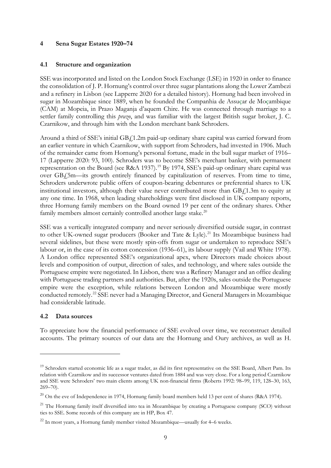#### **4 Sena Sugar Estates 1920–74**

#### **4.1 Structure and organization**

SSE was incorporated and listed on the London Stock Exchange (LSE) in 1920 in order to finance the consolidation of J. P. Hornung's control over three sugar plantations along the Lower Zambezi and a refinery in Lisbon (see Lapperre 2020 for a detailed history). Hornung had been involved in sugar in Mozambique since 1889, when he founded the Companhia de Assuçar de Moçambique (CAM) at Mopeia, in Prazo Maganja d'aquem Chire. He was connected through marriage to a settler family controlling this *prazo*, and was familiar with the largest British sugar broker, J. C. Czarnikow, and through him with the London merchant bank Schroders.

Around a third of SSE's initial GB $f_1$ 1.2m paid-up ordinary share capital was carried forward from an earlier venture in which Czarnikow, with support from Schroders, had invested in 1906. Much of the remainder came from Hornung's personal fortune, made in the bull sugar market of 1916– 17 (Lapperre 2020: 93, 100). Schroders was to become SSE's merchant banker, with permanent representation on the Board (see R&A [19](#page-10-0)37).<sup>19</sup> By 1974, SSE's paid-up ordinary share capital was over GB£5m—its growth entirely financed by capitalization of reserves. From time to time, Schroders underwrote public offers of coupon-bearing debentures or preferential shares to UK institutional investors, although their value never contributed more than  $GBf,1.3m$  to equity at any one time. In 1968, when leading shareholdings were first disclosed in UK company reports, three Hornung family members on the Board owned 19 per cent of the ordinary shares. Other family members almost certainly controlled another large stake.<sup>[20](#page-10-1)</sup>

SSE was a vertically integrated company and never seriously diversified outside sugar, in contrast to other UK-owned sugar producers (Booker and Tate & Lyle).<sup>[21](#page-10-2)</sup> Its Mozambique business had several sidelines, but these were mostly spin-offs from sugar or undertaken to reproduce SSE's labour or, in the case of its cotton concession (1936–61), its labour supply (Vail and White 1978). A London office represented SSE's organizational apex, where Directors made choices about levels and composition of output, direction of sales, and technology, and where sales outside the Portuguese empire were negotiated. In Lisbon, there was a Refinery Manager and an office dealing with Portuguese trading partners and authorities. But, after the 1920s, sales outside the Portuguese empire were the exception, while relations between London and Mozambique were mostly conducted remotely.[22](#page-10-3) SSE never had a Managing Director, and General Managers in Mozambique had considerable latitude.

#### **4.2 Data sources**

To appreciate how the financial performance of SSE evolved over time, we reconstruct detailed accounts. The primary sources of our data are the Hornung and Oury archives, as well as H.

<span id="page-10-0"></span><sup>&</sup>lt;sup>19</sup> Schroders started economic life as a sugar trader, as did its first representative on the SSE Board, Albert Pam. Its relation with Czarnikow and its successor ventures dated from 1884 and was very close. For a long period Czarnikow and SSE were Schroders' two main clients among UK non-financial firms (Roberts 1992: 98–99, 119, 128–30, 163, 269–70).

<span id="page-10-1"></span><sup>&</sup>lt;sup>20</sup> On the eve of Independence in 1974, Hornung family board members held 13 per cent of shares (R&A 1974).

<span id="page-10-2"></span><sup>&</sup>lt;sup>21</sup> The Hornung family itself diversified into tea in Mozambique by creating a Portuguese company (SCO) without ties to SSE. Some records of this company are in HP, Box 47.

<span id="page-10-3"></span> $^{22}$  In most years, a Hornung family member visited Mozambique—usually for 4–6 weeks.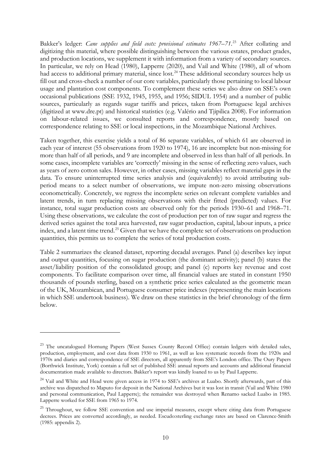Bakker's ledger: *Cane supplies and field costs: provisional estimates 1967–71*. [23](#page-11-0) After collating and digitizing this material, where possible distinguishing between the various estates, product grades, and production locations, we supplement it with information from a variety of secondary sources. In particular, we rely on Head (1980), Lapperre (2020), and Vail and White (1980), all of whom had access to additional primary material, since lost.<sup>[24](#page-11-1)</sup> These additional secondary sources help us fill out and cross-check a number of our core variables, particularly those pertaining to local labour usage and plantation cost components. To complement these series we also draw on SSE's own occasional publications (SSE 1932, 1945, 1955, and 1956; SIDUL 1954) and a number of public sources, particularly as regards sugar tariffs and prices, taken from Portuguese legal archives (digitized at [www.dre.pt\)](http://www.dre.pt/) and historical statistics (e.g. Valério and Tjipilica 2008). For information on labour-related issues, we consulted reports and correspondence, mostly based on correspondence relating to SSE or local inspections, in the Mozambique National Archives.

Taken together, this exercise yields a total of 86 separate variables, of which 61 are observed in each year of interest (55 observations from 1920 to 1974), 16 are incomplete but non-missing for more than half of all periods, and 9 are incomplete and observed in less than half of all periods. In some cases, incomplete variables are 'correctly' missing in the sense of reflecting zero values, such as years of zero cotton sales. However, in other cases, missing variables reflect material gaps in the data. To ensure uninterrupted time series analysis and (equivalently) to avoid attributing subperiod means to a select number of observations, we impute non-zero missing observations econometrically. Concretely, we regress the incomplete series on relevant complete variables and latent trends, in turn replacing missing observations with their fitted (predicted) values. For instance, total sugar production costs are observed only for the periods 1930–61 and 1968–71. Using these observations, we calculate the cost of production per ton of raw sugar and regress the derived series against the total area harvested, raw sugar production, capital, labour inputs, a price index, and a latent time trend.[25](#page-11-2) Given that we have the complete set of observations on production quantities, this permits us to complete the series of total production costs.

Table 2 summarizes the cleaned dataset, reporting decadal averages. Panel (a) describes key input and output quantities, focusing on sugar production (the dominant activity); panel (b) states the asset/liability position of the consolidated group; and panel (c) reports key revenue and cost components. To facilitate comparison over time, all financial values are stated in constant 1950 thousands of pounds sterling, based on a synthetic price series calculated as the geometric mean of the UK, Mozambican, and Portuguese consumer price indexes (representing the main locations in which SSE undertook business). We draw on these statistics in the brief chronology of the firm below.

<span id="page-11-0"></span><sup>&</sup>lt;sup>23</sup> The uncatalogued Hornung Papers (West Sussex County Record Office) contain ledgers with detailed sales, production, employment, and cost data from 1930 to 1961, as well as less systematic records from the 1920s and 1970s and diaries and correspondence of SSE directors, all apparently from SSE's London office. The Oury Papers (Borthwick Institute, York) contain a full set of published SSE annual reports and accounts and additional financial documentation made available to directors. Bakker's report was kindly loaned to us by Paul Lapperre.

<span id="page-11-1"></span><sup>&</sup>lt;sup>24</sup> Vail and White and Head were given access in 1974 to SSE's archives at Luabo. Shortly afterwards, part of this archive was dispatched to Maputo for deposit in the National Archives but it was lost in transit (Vail and White 1980 and personal communication, Paul Lapperre); the remainder was destroyed when Renamo sacked Luabo in 1985. Lapperre worked for SSE from 1965 to 1974.

<span id="page-11-2"></span><sup>&</sup>lt;sup>25</sup> Throughout, we follow SSE convention and use imperial measures, except where citing data from Portuguese decrees. Prices are converted accordingly, as needed. Escudo:sterling exchange rates are based on Clarence-Smith (1985: appendix 2).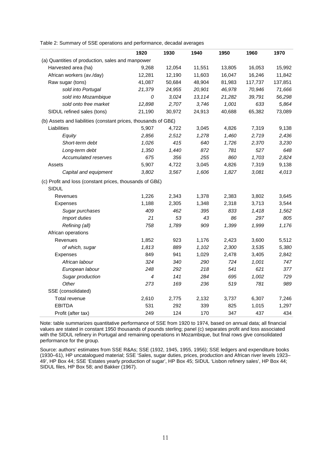Table 2: Summary of SSE operations and performance, decadal averages

|                                                                | 1920   | 1930   | 1940   | 1950   | 1960    | 1970    |
|----------------------------------------------------------------|--------|--------|--------|--------|---------|---------|
| (a) Quantities of production, sales and manpower               |        |        |        |        |         |         |
| Harvested area (ha)                                            | 9,268  | 12,054 | 11,551 | 13,805 | 16,053  | 15,992  |
| African workers (av./day)                                      | 12,281 | 12,190 | 11,603 | 16,047 | 16,246  | 11,842  |
| Raw sugar (tons)                                               | 41,087 | 50,684 | 48,904 | 81,983 | 117,737 | 137,851 |
| sold into Portugal                                             | 21,379 | 24,955 | 20,901 | 46,978 | 70,946  | 71,666  |
| sold into Mozambique                                           | 0      | 3,024  | 13,114 | 21,282 | 39,791  | 56,298  |
| sold onto free market                                          | 12,898 | 2,707  | 3,746  | 1,001  | 633     | 5,864   |
| SIDUL refined sales (tons)                                     | 21,190 | 30,972 | 24,913 | 40,688 | 65,382  | 73,089  |
| (b) Assets and liabilities (constant prices, thousands of GB£) |        |        |        |        |         |         |
| Liabilities                                                    | 5,907  | 4,722  | 3,045  | 4,826  | 7,319   | 9,138   |
| Equity                                                         | 2,856  | 2,512  | 1,278  | 1,460  | 2,719   | 2,436   |
| Short-term debt                                                | 1,026  | 415    | 640    | 1,726  | 2,370   | 3,230   |
| Long-term debt                                                 | 1,350  | 1,440  | 872    | 781    | 527     | 648     |
| Accumulated reserves                                           | 675    | 356    | 255    | 860    | 1,703   | 2,824   |
| Assets                                                         | 5,907  | 4,722  | 3,045  | 4,826  | 7,319   | 9,138   |
| Capital and equipment                                          | 3,802  | 3,567  | 1,606  | 1,827  | 3,081   | 4,013   |
| (c) Profit and loss (constant prices, thousands of GB£)        |        |        |        |        |         |         |
| <b>SIDUL</b>                                                   |        |        |        |        |         |         |
| Revenues                                                       | 1,226  | 2,343  | 1,378  | 2,383  | 3,802   | 3,645   |
| <b>Expenses</b>                                                | 1,188  | 2,305  | 1,348  | 2,318  | 3,713   | 3,544   |
| Sugar purchases                                                | 409    | 462    | 395    | 833    | 1,418   | 1,562   |
| Import duties                                                  | 21     | 53     | 43     | 86     | 297     | 805     |
| Refining (all)                                                 | 758    | 1,789  | 909    | 1,399  | 1,999   | 1,176   |
| African operations                                             |        |        |        |        |         |         |
| Revenues                                                       | 1,852  | 923    | 1,176  | 2,423  | 3,600   | 5,512   |
| of which, sugar                                                | 1,813  | 889    | 1,102  | 2,300  | 3,535   | 5,380   |
| Expenses                                                       | 849    | 941    | 1,029  | 2,478  | 3,405   | 2,842   |
| African labour                                                 | 324    | 340    | 290    | 724    | 1,001   | 747     |
| European labour                                                | 248    | 292    | 218    | 541    | 621     | 377     |
| Sugar production                                               | 4      | 141    | 284    | 695    | 1,002   | 729     |
| Other                                                          | 273    | 169    | 236    | 519    | 781     | 989     |
| SSE (consolidated)                                             |        |        |        |        |         |         |
| Total revenue                                                  | 2,610  | 2,775  | 2,132  | 3,737  | 6,307   | 7,246   |
| <b>EBITDA</b>                                                  | 531    | 292    | 339    | 825    | 1,015   | 1,297   |
| Profit (after tax)                                             | 249    | 124    | 170    | 347    | 437     | 434     |

Note: table summarizes quantitative performance of SSE from 1920 to 1974, based on annual data; all financial values are stated in constant 1950 thousands of pounds sterling; panel (c) separates profit and loss associated with the SIDUL refinery in Portugal and remaining operations in Mozambique, but final rows give consolidated performance for the group.

Source: authors' estimates from SSE R&As; SSE (1932, 1945, 1955, 1956); SSE ledgers and expenditure books (1930–61), HP uncatalogued material; SSE 'Sales, sugar duties, prices, production and African river levels 1923– 49', HP Box 44; SSE 'Estates yearly production of sugar', HP Box 45; SIDUL 'Lisbon refinery sales', HP Box 44; SIDUL files, HP Box 58; and Bakker (1967).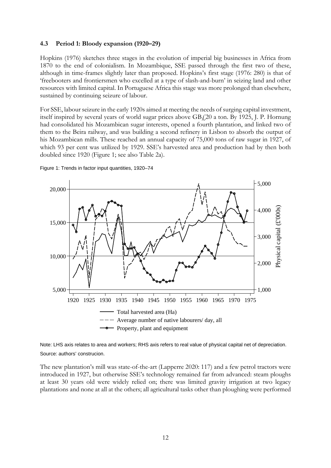#### **4.3 Period 1: Bloody expansion (1920–29)**

Hopkins (1976) sketches three stages in the evolution of imperial big businesses in Africa from 1870 to the end of colonialism. In Mozambique, SSE passed through the first two of these, although in time-frames slightly later than proposed. Hopkins's first stage (1976: 280) is that of 'freebooters and frontiersmen who excelled at a type of slash-and-burn' in seizing land and other resources with limited capital. In Portuguese Africa this stage was more prolonged than elsewhere, sustained by continuing seizure of labour.

For SSE, labour seizure in the early 1920s aimed at meeting the needs of surging capital investment, itself inspired by several years of world sugar prices above GB£20 a ton. By 1925, J. P. Hornung had consolidated his Mozambican sugar interests, opened a fourth plantation, and linked two of them to the Beira railway, and was building a second refinery in Lisbon to absorb the output of his Mozambican mills. These reached an annual capacity of 75,000 tons of raw sugar in 1927, of which 93 per cent was utilized by 1929. SSE's harvested area and production had by then both doubled since 1920 (Figure 1; see also Table 2a).



Figure 1: Trends in factor input quantities, 1920–74

Note: LHS axis relates to area and workers; RHS axis refers to real value of physical capital net of depreciation. Source: authors' construcion.

The new plantation's mill was state-of-the-art (Lapperre 2020: 117) and a few petrol tractors were introduced in 1927, but otherwise SSE's technology remained far from advanced: steam ploughs at least 30 years old were widely relied on; there was limited gravity irrigation at two legacy plantations and none at all at the others; all agricultural tasks other than ploughing were performed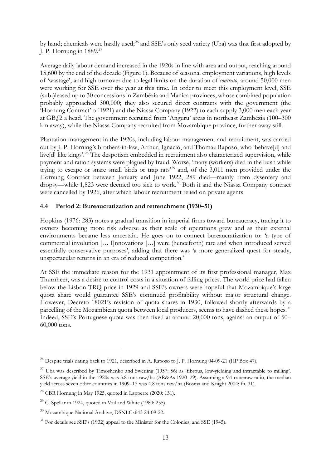by hand; chemicals were hardly used;<sup>[26](#page-14-0)</sup> and SSE's only seed variety (Uba) was that first adopted by J. P. Hornung in 1889.[27](#page-14-1)

Average daily labour demand increased in the 1920s in line with area and output, reaching around 15,600 by the end of the decade (Figure 1). Because of seasonal employment variations, high levels of 'wastage', and high turnover due to legal limits on the duration of *contrato*, around 50,000 men were working for SSE over the year at this time. In order to meet this employment level, SSE (sub-)leased up to 30 concessions in Zambézia and Manica provinces, whose combined population probably approached 300,000; they also secured direct contracts with the government (the 'Hornung Contract' of 1921) and the Niassa Company (1922) to each supply 3,000 men each year at GB£2 a head. The government recruited from 'Anguru' areas in northeast Zambézia (100–300 km away), while the Niassa Company recruited from Mozambique province, further away still.

Plantation management in the 1920s, including labour management and recruitment, was carried out by J. P. Horning's brothers-in-law, Arthur, Ignacio, and Thomaz Raposo, who 'behave[d] and live[d] like kings'. [28](#page-14-2) The despotism embedded in recruitment also characterized supervision, while payment and ration systems were plagued by fraud. Worse, 'many (workers) died in the bush while trying to escape or snare small birds or trap rats' [29](#page-14-3) and, of the 3,011 men provided under the Hornung Contract between January and June 1922, 289 died—mainly from dysentery and dropsy—while 1,823 were deemed too sick to work.[30](#page-14-4) Both it and the Niassa Company contract were cancelled by 1926, after which labour recruitment relied on private agents.

### **4.4 Period 2: Bureaucratization and retrenchment (1930–51)**

Hopkins (1976: 283) notes a gradual transition in imperial firms toward bureaucracy, tracing it to owners becoming more risk adverse as their scale of operations grew and as their external environments became less uncertain. He goes on to connect bureaucratization to: 'a type of commercial involution [… I]nnovations […] were (henceforth) rare and when introduced served essentially conservative purposes', adding that there was 'a more generalized quest for steady, unspectacular returns in an era of reduced competition.'

At SSE the immediate reason for the 1931 appointment of its first professional manager, Max Thurnheer, was a desire to control costs in a situation of falling prices. The world price had fallen below the Lisbon TRQ price in 1929 and SSE's owners were hopeful that Mozambique's large quota share would guarantee SSE's continued profitability without major structural change. However, Decreto 18021's revision of quota shares in 1930, followed shortly afterwards by a parcelling of the Mozambican quota between local producers, seems to have dashed these hopes.<sup>[31](#page-14-5)</sup> Indeed, SSE's Portuguese quota was then fixed at around 20,000 tons, against an output of 50– 60,000 tons.

<span id="page-14-0"></span><sup>&</sup>lt;sup>26</sup> Despite trials dating back to 1921, described in A. Raposo to J. P. Hornung 04-09-21 (HP Box 47).

<span id="page-14-1"></span> $^{27}$  Uba was described by Timoshenko and Swerling (1957: 56) as 'fibrous, low-yielding and intractable to milling'. SSE's average yield in the 1920s was 3.8 tons raw/ha (AR&As 1920–29). Assuming a 9:1 cane:raw ratio, the median yield across seven other countries in 1909–13 was 4.8 tons raw/ha (Bosma and Knight 2004: fn. 31).

<span id="page-14-2"></span><sup>28</sup> CBR Hornung in May 1925, quoted in Lapperre (2020: 131).

<span id="page-14-3"></span> $29$  C. Spellar in 1924, quoted in Vail and White (1980: 255).

<span id="page-14-4"></span><sup>30</sup> Mozambique National Archive, DSNI.Cx643 24-09-22.

<span id="page-14-5"></span><sup>&</sup>lt;sup>31</sup> For details see SSE's (1932) appeal to the Minister for the Colonies; and SSE (1945).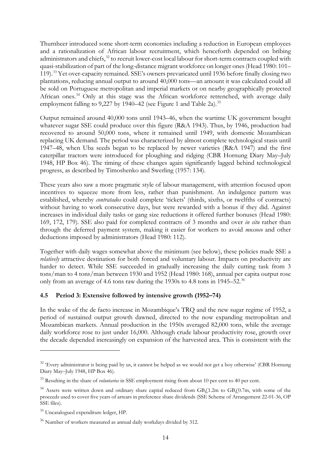Thurnheer introduced some short-term economies including a reduction in European employees and a rationalization of African labour recruitment, which henceforth depended on bribing administrators and chiefs,<sup>[32](#page-15-0)</sup> to recruit lower-cost local labour for short-term contracts coupled with quasi-stabilization of part of the long-distance migrant workforce on longer ones (Head 1980: 101– 119).[33](#page-15-1) Yet over-capacity remained. SSE's owners prevaricated until 1936 before finally closing two plantations, reducing annual output to around 40,000 tons—an amount it was calculated could all be sold on Portuguese metropolitan and imperial markets or on nearby geographically protected African ones.<sup>[34](#page-15-2)</sup> Only at this stage was the African workforce retrenched, with average daily employment falling to 9,227 by 1940–42 (see Figure 1 and Table 2a).<sup>[35](#page-15-3)</sup>

Output remained around 40,000 tons until 1943–46, when the wartime UK government bought whatever sugar SSE could produce over this figure (R&A 1943). Thus, by 1946, production had recovered to around 50,000 tons, where it remained until 1949, with domestic Mozambican replacing UK demand. The period was characterized by almost complete technological stasis until 1947–48, when Uba seeds began to be replaced by newer varieties (R&A 1947) and the first caterpillar tractors were introduced for ploughing and ridging (CBR Hornung Diary May–July 1948, HP Box 46). The timing of these changes again significantly lagged behind technological progress, as described by Timoshenko and Swerling (1957: 134).

These years also saw a more pragmatic style of labour management, with attention focused upon incentives to squeeze more from less, rather than punishment. An indulgence pattern was established, whereby *contratados* could complete 'tickets' (thirds, sixths, or twelfths of contracts) without having to work consecutive days, but were rewarded with a bonus if they did. Against increases in individual daily tasks or gang size reductions it offered further bonuses (Head 1980: 169, 172, 179). SSE also paid for completed contracts of 3 months and over *in situ* rather than through the deferred payment system, making it easier for workers to avoid *mussoco* and other deductions imposed by administrators (Head 1980: 112).

Together with daily wages somewhat above the minimum (see below), these policies made SSE a *relatively* attractive destination for both forced and voluntary labour. Impacts on productivity are harder to detect. While SSE succeeded in gradually increasing the daily cutting task from 3 tons/man to 4 tons/man between 1930 and 1952 (Head 1980: 168), annual per capita output rose only from an average of 4.6 tons raw during the 1930s to 4.8 tons in 1945–52.<sup>[36](#page-15-4)</sup>

### **4.5 Period 3: Extensive followed by intensive growth (1952–74)**

In the wake of the de facto increase in Mozambique's TRQ and the new sugar regime of 1952, a period of sustained output growth dawned, directed to the now expanding metropolitan and Mozambican markets. Annual production in the 1950s averaged 82,000 tons, while the average daily workforce rose to just under 16,000. Although crude labour productivity rose, growth over the decade depended increasingly on expansion of the harvested area. This is consistent with the

<span id="page-15-0"></span><sup>&</sup>lt;sup>32</sup> 'Every administrator is being paid by us, it cannot be helped as we would not get a boy otherwise' (CBR Hornung Diary May–July 1948, HP Box 46).

<span id="page-15-1"></span><sup>33</sup> Resulting in the share of *voluntarios* in SSE employment rising from about 10 per cent to 40 per cent.

<span id="page-15-2"></span> $34$  Assets were written down and ordinary share capital reduced from GB $f$ 1.2m to GB $f$ 0.7m, with some of the proceeds used to cover five years of arrears in preference share dividends (SSE Scheme of Arrangement 22-01-36, OP SSE files).

<span id="page-15-3"></span><sup>35</sup> Uncatalogued expenditure ledger, HP.

<span id="page-15-4"></span><sup>&</sup>lt;sup>36</sup> Number of workers measured as annual daily workdays divided by 312.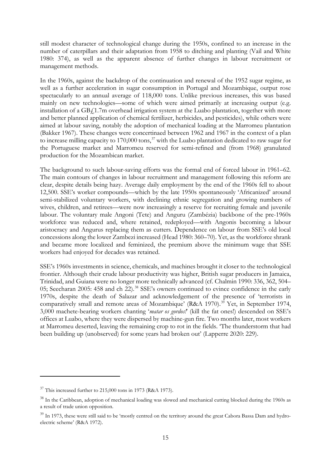still modest character of technological change during the 1950s, confined to an increase in the number of caterpillars and their adaptation from 1958 to ditching and planting (Vail and White 1980: 374), as well as the apparent absence of further changes in labour recruitment or management methods.

In the 1960s, against the backdrop of the continuation and renewal of the 1952 sugar regime, as well as a further acceleration in sugar consumption in Portugal and Mozambique, output rose spectacularly to an annual average of 118,000 tons. Unlike previous increases, this was based mainly on new technologies—some of which were aimed primarily at increasing output (e.g. installation of a  $GB/1.7$ m overhead irrigation system at the Luabo plantation, together with more and better planned application of chemical fertilizer, herbicides, and pesticides), while others were aimed at labour saving, notably the adoption of mechanical loading at the Marromeu plantation (Bakker 1967). These changes were concertinaed between 1962 and 1967 in the context of a plan to increase milling capacity to 170,000 tons,<sup>[37](#page-16-0)</sup> with the Luabo plantation dedicated to raw sugar for the Portuguese market and Marromeu reserved for semi-refined and (from 1968) granulated production for the Mozambican market.

The background to such labour-saving efforts was the formal end of forced labour in 1961–62. The main contours of changes in labour recruitment and management following this reform are clear, despite details being hazy. Average daily employment by the end of the 1960s fell to about 12,500. SSE's worker compounds—which by the late 1950s spontaneously 'Africanized' around semi-stabilized voluntary workers, with declining ethnic segregation and growing numbers of wives, children, and retirees—were now increasingly a reserve for recruiting female and juvenile labour. The voluntary male Angoni (Tete) and Anguru (Zambézia) backbone of the pre-1960s workforce was reduced and, where retained, redeployed—with Angonis becoming a labour aristocracy and Angurus replacing them as cutters. Dependence on labour from SSE's old local concessions along the lower Zambezi increased (Head 1980: 360–70). Yet, as the workforce shrank and became more localized and feminized, the premium above the minimum wage that SSE workers had enjoyed for decades was retained.

SSE's 1960s investments in science, chemicals, and machines brought it closer to the technological frontier. Although their crude labour productivity was higher, British sugar producers in Jamaica, Trinidad, and Guiana were no longer more technically advanced (cf. Chalmin 1990: 336, 362, 504– 05; Seecharan 2005: 458 and ch 22).<sup>[38](#page-16-1)</sup> SSE's owners continued to evince confidence in the early 1970s, despite the death of Salazar and acknowledgement of the presence of 'terrorists in comparatively small and remote areas of Mozambique' (R&A 1970).<sup>[39](#page-16-2)</sup> Yet, in September 1974, 3,000 machete-bearing workers chanting '*matar os gordos!*' (kill the fat ones!) descended on SSE's offices at Luabo, where they were dispersed by machine-gun fire. Two months later, most workers at Marromeu deserted, leaving the remaining crop to rot in the fields. 'The thunderstorm that had been building up (unobserved) for some years had broken out' (Lapperre 2020: 229).

<span id="page-16-0"></span> $37$  This increased further to 215,000 tons in 1973 (R&A 1973).

<span id="page-16-1"></span><sup>&</sup>lt;sup>38</sup> In the Caribbean, adoption of mechanical loading was slowed and mechanical cutting blocked during the 1960s as a result of trade union opposition.

<span id="page-16-2"></span><sup>&</sup>lt;sup>39</sup> In 1973, these were still said to be 'mostly centred on the territory around the great Cabora Bassa Dam and hydroelectric scheme' (R&A 1972).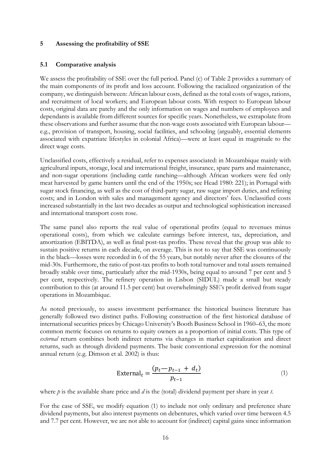#### **5 Assessing the profitability of SSE**

#### **5.1 Comparative analysis**

We assess the profitability of SSE over the full period. Panel (c) of Table 2 provides a summary of the main components of its profit and loss account. Following the racialized organization of the company, we distinguish between: African labour costs, defined as the total costs of wages, rations, and recruitment of local workers; and European labour costs. With respect to European labour costs, original data are patchy and the only information on wages and numbers of employees and dependants is available from different sources for specific years. Nonetheless, we extrapolate from these observations and further assume that the non-wage costs associated with European labour e.g., provision of transport, housing, social facilities, and schooling (arguably, essential elements associated with expatriate lifestyles in colonial Africa)—were at least equal in magnitude to the direct wage costs.

Unclassified costs, effectively a residual, refer to expenses associated: in Mozambique mainly with agricultural inputs, storage, local and international freight, insurance, spare parts and maintenance, and non-sugar operations (including cattle ranching—although African workers were fed only meat harvested by game hunters until the end of the 1950s; see Head 1980: 221); in Portugal with sugar stock financing, as well as the cost of third-party sugar, raw sugar import duties, and refining costs; and in London with sales and management agency and directors' fees. Unclassified costs increased substantially in the last two decades as output and technological sophistication increased and international transport costs rose.

The same panel also reports the real value of operational profits (equal to revenues minus operational costs), from which we calculate earnings before interest, tax, depreciation, and amortization (EBITDA), as well as final post-tax profits. These reveal that the group was able to sustain positive returns in each decade, on average. This is not to say that SSE was continuously in the black—losses were recorded in 6 of the 55 years, but notably never after the closures of the mid-30s. Furthermore, the ratio of post-tax profits to both total turnover and total assets remained broadly stable over time, particularly after the mid-1930s, being equal to around 7 per cent and 5 per cent, respectively. The refinery operation in Lisbon (SIDUL) made a small but steady contribution to this (at around 11.5 per cent) but overwhelmingly SSE's profit derived from sugar operations in Mozambique.

As noted previously, to assess investment performance the historical business literature has generally followed two distinct paths. Following construction of the first historical database of international securities prices by Chicago University's Booth Business School in 1960–63, the more common metric focuses on returns to equity owners as a proportion of initial costs. This type of *external* return combines both indirect returns via changes in market capitalization and direct returns, such as through dividend payments. The basic conventional expression for the nominal annual return (e.g. Dimson et al. 2002) is thus:

$$
Externalt = \frac{(pt - pt-1 + dt)}{pt-1}
$$
\n(1)

where *p* is the available share price and *d* is the (total) dividend payment per share in year *t*.

For the case of SSE, we modify equation (1) to include not only ordinary and preference share dividend payments, but also interest payments on debentures, which varied over time between 4.5 and 7.7 per cent. However, we are not able to account for (indirect) capital gains since information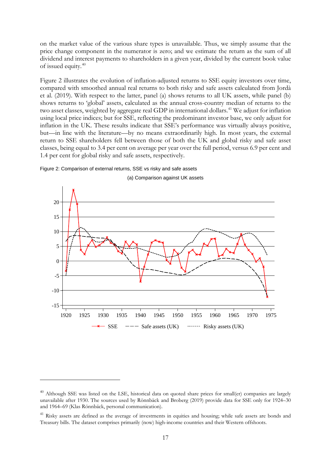on the market value of the various share types is unavailable. Thus, we simply assume that the price change component in the numerator is zero; and we estimate the return as the sum of all dividend and interest payments to shareholders in a given year, divided by the current book value of issued equity.[40](#page-18-0)

Figure 2 illustrates the evolution of inflation-adjusted returns to SSE equity investors over time, compared with smoothed annual real returns to both risky and safe assets calculated from Jordà et al. (2019). With respect to the latter, panel (a) shows returns to all UK assets, while panel (b) shows returns to 'global' assets, calculated as the annual cross-country median of returns to the two asset classes, weighted by aggregate real GDP in international dollars.<sup>[41](#page-18-1)</sup> We adjust for inflation using local price indices; but for SSE, reflecting the predominant investor base, we only adjust for inflation in the UK. These results indicate that SSE's performance was virtually always positive, but—in line with the literature—by no means extraordinarily high. In most years, the external return to SSE shareholders fell between those of both the UK and global risky and safe asset classes, being equal to 3.4 per cent on average per year over the full period, versus 6.9 per cent and 1.4 per cent for global risky and safe assets, respectively.





(a) Comparison against UK assets

<span id="page-18-0"></span><sup>&</sup>lt;sup>40</sup> Although SSE was listed on the LSE, historical data on quoted share prices for small(er) companies are largely unavailable after 1930. The sources used by Rönnbäck and Broberg (2019) provide data for SSE only for 1924–30 and 1964–69 (Klas Rönnbäck, personal communication).

<span id="page-18-1"></span><sup>&</sup>lt;sup>41</sup> Risky assets are defined as the average of investments in equities and housing; while safe assets are bonds and Treasury bills. The dataset comprises primarily (now) high-income countries and their Western offshoots.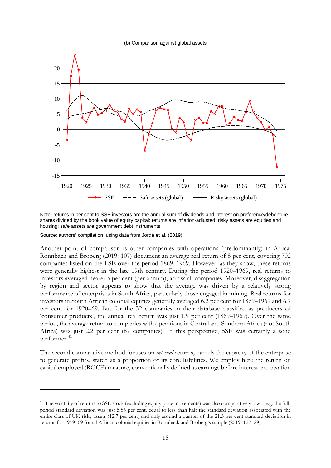#### (b) Comparison against global assets



Note: returns in per cent to SSE investors are the annual sum of dividends and interest on preference/debenture shares divided by the book value of equity capital; returns are inflation-adjusted; risky assets are equities and housing; safe assets are government debt instruments.

Source: authors' compilation, using data from Jordà et al. (2019).

Another point of comparison is other companies with operations (predominantly) in Africa. Rönnbäck and Broberg (2019: 107) document an average real return of 8 per cent, covering 702 companies listed on the LSE over the period 1869–1969. However, as they show, these returns were generally highest in the late 19th century. During the period 1920–1969, real returns to investors averaged nearer 5 per cent (per annum), across all companies. Moreover, disaggregation by region and sector appears to show that the average was driven by a relatively strong performance of enterprises in South Africa, particularly those engaged in mining. Real returns for investors in South African colonial equities generally averaged 6.2 per cent for 1869–1969 and 6.7 per cent for 1920–69. But for the 32 companies in their database classified as producers of 'consumer products', the annual real return was just 1.9 per cent (1869–1969). Over the same period, the average return to companies with operations in Central and Southern Africa (not South Africa) was just 2.2 per cent (87 companies). In this perspective, SSE was certainly a solid performer.[42](#page-19-0)

The second comparative method focuses on *internal* returns, namely the capacity of the enterprise to generate profits, stated as a proportion of its core liabilities. We employ here the return on capital employed (ROCE) measure, conventionally defined as earnings before interest and taxation

<span id="page-19-0"></span> $^{42}$  The volatility of returns to SSE stock (excluding equity price movements) was also comparatively low—e.g. the fullperiod standard deviation was just 5.56 per cent, equal to less than half the standard deviation associated with the entire class of UK risky assets (12.7 per cent) and only around a quarter of the 21.3 per cent standard deviation in returns for 1919–69 for all African colonial equities in Rönnbäck and Broberg's sample (2019: 127–29).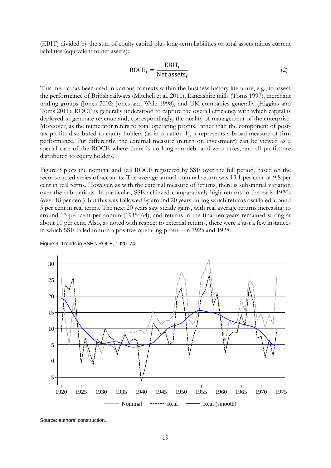(EBIT) divided by the sum of equity capital plus long-term liabilities or total assets minus current liabilities (equivalent to net assets):

$$
ROCE_t = \frac{EBIT_t}{Net assets_t}
$$
 (2)

This metric has been used in various contexts within the business history literature, e.g., to assess the performance of British railways (Mitchell et al. 2011), Lancashire mills (Toms 1997), merchant trading groups (Jones 2002; Jones and Wale 1998), and UK companies generally (Higgins and Toms 2011). ROCE is generally understood to capture the overall efficiency with which capital is deployed to generate revenue and, correspondingly, the quality of management of the enterprise. Moreover, as the numerator refers to total operating profits, rather than the component of posttax profits distributed to equity holders (as in equation 1), it represents a broad measure of firm performance. Put differently, the external measure (return on investment) can be viewed as a special case of the ROCE where there is no long-run debt and zero taxes, and all profits are distributed to equity holders.

Figure 3 plots the nominal and real ROCE registered by SSE over the full period, based on the reconstructed series of accounts. The average annual nominal return was 13.1 per cent or 9.8 per cent in real terms. However, as with the external measure of returns, there is substantial variation over the sub-periods. In particular, SSE achieved comparatively high returns in the early 1920s (over 18 per cent), but this was followed by around 20 years during which returns oscillated around 5 per cent in real terms. The next 20 years saw steady gains, with real average returns increasing to around 13 per cent per annum (1945–64); and returns in the final ten years remained strong at about 10 per cent. Also, as noted with respect to external returns, there were a just a few instances in which SSE failed to turn a positive operating profit—in 1925 and 1928.



Figure 3: Trends in SSE's ROCE, 1920–74

Source: authors' construction.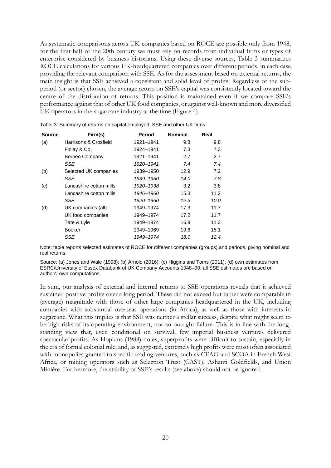As systematic comparisons across UK companies based on ROCE are possible only from 1948, for the first half of the 20th century we must rely on records from individual firms or types of enterprise considered by business historians. Using these diverse sources, Table 3 summarizes ROCE calculations for various UK-headquartered companies over different periods, in each case providing the relevant comparison with SSE. As for the assessment based on external returns, the main insight is that SSE achieved a consistent and solid level of profits. Regardless of the subperiod (or sector) chosen, the average return on SSE's capital was consistently located toward the centre of the distribution of returns. This position is maintained even if we compare SSE's performance against that of other UK food companies, or against well-known and more diversified UK operators in the sugarcane industry at the time (Figure 4).

| <b>Source</b> | Firm(s)                 | Period    | <b>Nominal</b> | Real |
|---------------|-------------------------|-----------|----------------|------|
| (a)           | Harrisons & Crosfield   | 1921-1941 | 9.8            | 9.8  |
|               | Finlay & Co.            | 1924-1941 | 7.3            | 7.3  |
|               | Borneo Company          | 1921-1941 | 2.7            | 2.7  |
|               | SSE                     | 1920-1941 | 7.4            | 7.4  |
| (b)           | Selected UK companies   | 1939-1950 | 12.9           | 7.2  |
|               | SSE                     | 1939-1950 | 14.0           | 7.8  |
| (c)           | Lancashire cotton mills | 1920-1938 | 3.2            | 3.8  |
|               | Lancashire cotton mills | 1946-1960 | 15.3           | 11.2 |
|               | SSE                     | 1920-1960 | 12.3           | 10.0 |
| (d)           | UK companies (all)      | 1949-1974 | 17.3           | 11.7 |
|               | UK food companies       | 1949-1974 | 17.2           | 11.7 |
|               | Tate & Lyle             | 1949-1974 | 16.9           | 11.3 |
|               | <b>Booker</b>           | 1949-1969 | 19.6           | 15.1 |
|               | SSE                     | 1949-1974 | 18.0           | 12.4 |

Table 3: Summary of returns on capital employed, SSE and other UK firms

Note: table reports selected estimates of ROCE for different companies (groups) and periods, giving nominal and real returns.

Source: (a) Jones and Wale (1998); (b) Arnold (2016); (c) Higgins and Toms (2011); (d) own estimates from ESRC/University of Essex Databank of UK Company Accounts 1948–90; all SSE estimates are based on authors' own computations.

In sum, our analysis of external and internal returns to SSE operations reveals that it achieved sustained positive profits over a long period. These did not exceed but rather were comparable in (average) magnitude with those of other large companies headquartered in the UK, including companies with substantial overseas operations (in Africa), as well as those with interests in sugarcane. What this implies is that SSE was neither a stellar success, despite what might seem to be high risks of its operating environment, nor an outright failure. This is in line with the longstanding view that, even conditional on survival, few imperial business ventures delivered spectacular profits. As Hopkins (1988) notes, superprofits were difficult to sustain, especially in the era of formal colonial rule; and, as suggested, extremely high profits were most often associated with monopolies granted to specific trading ventures, such as CFAO and SCOA in French West Africa, or mining operators such as Selection Trust (CAST), Ashanti Goldfields, and Union Minière. Furthermore, the stability of SSE's results (see above) should not be ignored.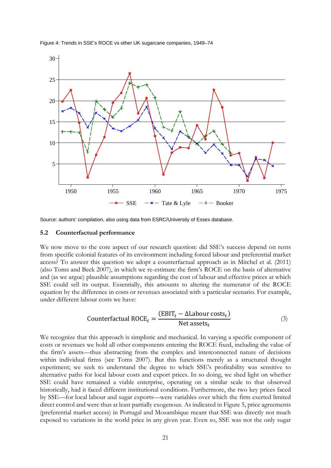

Figure 4: Trends in SSE's ROCE vs other UK sugarcane companies, 1949–74

Source: authors' compilation, also using data from ESRC/University of Essex database.

#### **5.2 Counterfactual performance**

We now move to the core aspect of our research question: did SSE's success depend on rents from specific colonial features of its environment including forced labour and preferential market access? To answer this question we adopt a counterfactual approach as in Mitchel et al. (2011) (also Toms and Beck 2007), in which we re-estimate the firm's ROCE on the basis of alternative and (as we argue) plausible assumptions regarding the cost of labour and effective prices at which SSE could sell its output. Essentially, this amounts to altering the numerator of the ROCE equation by the difference in costs or revenues associated with a particular scenario. For example, under different labour costs we have:

$$
Counterfactual ROCEt = \frac{(EBITt - \Delta Labour costst)}{Net assetst}
$$
\n(3)

We recognize that this approach is simplistic and mechanical. In varying a specific component of costs or revenues we hold all other components entering the ROCE fixed, including the value of the firm's assets—thus abstracting from the complex and interconnected nature of decisions within individual firms (see Toms 2007). But this functions merely as a structured thought experiment; we seek to understand the degree to which SSE's profitability was sensitive to alternative paths for local labour costs and export prices. In so doing, we shed light on whether SSE could have remained a viable enterprise, operating on a similar scale to that observed historically, had it faced different institutional conditions. Furthermore, the two key prices faced by SSE—for local labour and sugar exports—were variables over which the firm exerted limited direct control and were thus at least partially exogenous. As indicated in Figure 5, price agreements (preferential market access) in Portugal and Mozambique meant that SSE was directly not much exposed to variations in the world price in any given year. Even so, SSE was not the only sugar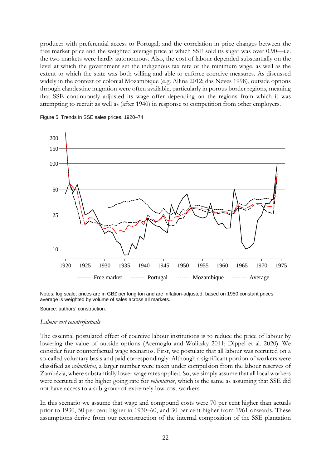producer with preferential access to Portugal; and the correlation in price changes between the free market price and the weighted average price at which SSE sold its sugar was over 0.90—i.e. the two markets were hardly autonomous. Also, the cost of labour depended substantially on the level at which the government set the indigenous tax rate or the minimum wage, as well as the extent to which the state was both willing and able to enforce coercive measures. As discussed widely in the context of colonial Mozambique (e.g. Allina 2012; das Neves 1998), outside options through clandestine migration were often available, particularly in porous border regions, meaning that SSE continuously adjusted its wage offer depending on the regions from which it was attempting to recruit as well as (after 1940) in response to competition from other employers.

Figure 5: Trends in SSE sales prices, 1920–74



Notes: log scale; prices are in GB£ per long ton and are inflation-adjusted, based on 1950 constant prices; average is weighted by volume of sales across all markets.

Source: authors' construction.

#### *Labour cost counterfactuals*

The essential postulated effect of coercive labour institutions is to reduce the price of labour by lowering the value of outside options (Acemoglu and Wolitzky 2011; Dippel et al. 2020). We consider four counterfactual wage scenarios. First, we postulate that all labour was recruited on a so-called voluntary basis and paid correspondingly. Although a significant portion of workers were classified as *voluntários*, a larger number were taken under compulsion from the labour reserves of Zambézia, where substantially lower wage rates applied. So, we simply assume that all local workers were recruited at the higher going rate for *voluntários*, which is the same as assuming that SSE did not have access to a sub-group of extremely low-cost workers.

In this scenario we assume that wage and compound costs were 70 per cent higher than actuals prior to 1930, 50 per cent higher in 1930–60, and 30 per cent higher from 1961 onwards. These assumptions derive from our reconstruction of the internal composition of the SSE plantation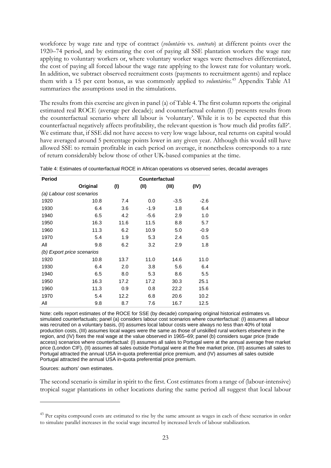workforce by wage rate and type of contract (*voluntário* vs. *contrato*) at different points over the 1920–74 period, and by estimating the cost of paying all SSE plantation workers the wage rate applying to voluntary workers or, where voluntary worker wages were themselves differentiated, the cost of paying all forced labour the wage rate applying to the lowest rate for voluntary work. In addition, we subtract observed recruitment costs (payments to recruitment agents) and replace them with a 15 per cent bonus, as was commonly applied to *voluntários*. [43](#page-24-0) Appendix Table A1 summarizes the assumptions used in the simulations.

The results from this exercise are given in panel (a) of Table 4. The first column reports the original estimated real ROCE (average per decade); and counterfactual column (I) presents results from the counterfactual scenario where all labour is 'voluntary'. While it is to be expected that this counterfactual negatively affects profitability, the relevant question is 'how much did profits fall?'. We estimate that, if SSE did not have access to very low wage labour, real returns on capital would have averaged around 5 percentage points lower in any given year. Although this would still have allowed SSE to remain profitable in each period on average, it nonetheless corresponds to a rate of return considerably below those of other UK-based companies at the time.

| <b>Period</b>              |          | Counterfactual |        |        |        |  |  |
|----------------------------|----------|----------------|--------|--------|--------|--|--|
|                            | Original | (1)            | (II)   | (III)  | (IV)   |  |  |
| (a) Labour cost scenarios  |          |                |        |        |        |  |  |
| 1920                       | 10.8     | 7.4            | 0.0    | $-3.5$ | $-2.6$ |  |  |
| 1930                       | 6.4      | 3.6            | $-1.9$ | 1.8    | 6.4    |  |  |
| 1940                       | 6.5      | 4.2            | $-5.6$ | 2.9    | 1.0    |  |  |
| 1950                       | 16.3     | 11.6           | 11.5   | 8.8    | 5.7    |  |  |
| 1960                       | 11.3     | 6.2            | 10.9   | 5.0    | $-0.9$ |  |  |
| 1970                       | 5.4      | 1.9            | 5.3    | 2.4    | 0.5    |  |  |
| All                        | 9.8      | 6.2            | 3.2    | 2.9    | 1.8    |  |  |
| (b) Export price scenarios |          |                |        |        |        |  |  |
| 1920                       | 10.8     | 13.7           | 11.0   | 14.6   | 11.0   |  |  |
| 1930                       | 6.4      | 2.0            | 3.8    | 5.6    | 6.4    |  |  |
| 1940                       | 6.5      | 8.0            | 5.3    | 8.6    | 5.5    |  |  |
| 1950                       | 16.3     | 17.2           | 17.2   | 30.3   | 25.1   |  |  |
| 1960                       | 11.3     | 0.9            | 0.8    | 22.2   | 15.6   |  |  |
| 1970                       | 5.4      | 12.2           | 6.8    | 20.6   | 10.2   |  |  |
| All                        | 9.8      | 8.7            | 7.6    | 16.7   | 12.5   |  |  |

Table 4: Estimates of counterfactual ROCE in African operations vs observed series, decadal averages

Note: cells report estimates of the ROCE for SSE (by decade) comparing original historical estimates vs. simulated counterfactuals; panel (a) considers labour cost scenarios where counterfactual: (I) assumes all labour was recruited on a voluntary basis, (II) assumes local labour costs were always no less than 40% of total production costs, (III) assumes local wages were the same as those of unskilled rural workers elsewhere in the region, and (IV) fixes the real wage at the value observed in 1965–69; panel (b) considers sugar price (trade access) scenarios where counterfactual: (I) assumes all sales to Portugal were at the annual average free market price (London CIF), (II) assumes all sales outside Portugal were at the free market price, (III) assumes all sales to Portugal attracted the annual USA in-quota preferential price premium, and (IV) assumes all sales outside Portugal attracted the annual USA in-quota preferential price premium.

#### Sources: authors' own estimates.

The second scenario is similar in spirit to the first. Cost estimates from a range of (labour-intensive) tropical sugar plantations in other locations during the same period all suggest that local labour

<span id="page-24-0"></span><sup>&</sup>lt;sup>43</sup> Per capita compound costs are estimated to rise by the same amount as wages in each of these scenarios in order to simulate parallel increases in the social wage incurred by increased levels of labour stabilization.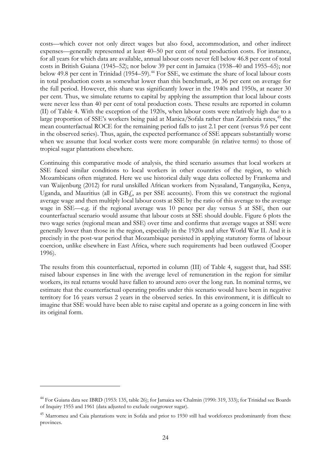costs—which cover not only direct wages but also food, accommodation, and other indirect expenses—generally represented at least 40–50 per cent of total production costs. For instance, for all years for which data are available, annual labour costs never fell below 46.8 per cent of total costs in British Guiana (1945–52); nor below 39 per cent in Jamaica (1938–40 and 1955–65); nor below 49.8 per cent in Trinidad (1954–59).<sup>[44](#page-25-0)</sup> For SSE, we estimate the share of local labour costs in total production costs as somewhat lower than this benchmark, at 36 per cent on average for the full period. However, this share was significantly lower in the 1940s and 1950s, at nearer 30 per cent. Thus, we simulate returns to capital by applying the assumption that local labour costs were never less than 40 per cent of total production costs. These results are reported in column (II) of Table 4. With the exception of the 1920s, when labour costs were relatively high due to a large proportion of SSE's workers being paid at Manica/Sofala rather than Zambézia rates,<sup>[45](#page-25-1)</sup> the mean counterfactual ROCE for the remaining period falls to just 2.1 per cent (versus 9.6 per cent in the observed series). Thus, again, the expected performance of SSE appears substantially worse when we assume that local worker costs were more comparable (in relative terms) to those of tropical sugar plantations elsewhere.

Continuing this comparative mode of analysis, the third scenario assumes that local workers at SSE faced similar conditions to local workers in other countries of the region, to which Mozambicans often migrated. Here we use historical daily wage data collected by Frankema and van Waijenburg (2012) for rural unskilled African workers from Nyasaland, Tanganyika, Kenya, Uganda, and Mauritius (all in  $GBf$ , as per SSE accounts). From this we construct the regional average wage and then multiply local labour costs at SSE by the ratio of this average to the average wage in SSE—e.g. if the regional average was 10 pence per day versus 5 at SSE, then our counterfactual scenario would assume that labour costs at SSE should double. Figure 6 plots the two wage series (regional mean and SSE) over time and confirms that average wages at SSE were generally lower than those in the region, especially in the 1920s and after World War II. And it is precisely in the post-war period that Mozambique persisted in applying statutory forms of labour coercion, unlike elsewhere in East Africa, where such requirements had been outlawed (Cooper 1996).

The results from this counterfactual, reported in column (III) of Table 4, suggest that, had SSE raised labour expenses in line with the average level of remuneration in the region for similar workers, its real returns would have fallen to around zero over the long run. In nominal terms, we estimate that the counterfactual operating profits under this scenario would have been in negative territory for 16 years versus 2 years in the observed series. In this environment, it is difficult to imagine that SSE would have been able to raise capital and operate as a going concern in line with its original form.

<span id="page-25-0"></span><sup>&</sup>lt;sup>44</sup> For Guiana data see IBRD (1953: 135, table 26); for Jamaica see Chalmin (1990: 319, 333); for Trinidad see Boards of Inquiry 1955 and 1961 (data adjusted to exclude outgrower sugar).

<span id="page-25-1"></span><sup>&</sup>lt;sup>45</sup> Marromeu and Caia plantations were in Sofala and prior to 1930 still had workforces predominantly from these provinces.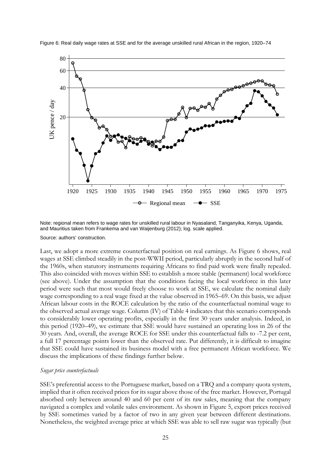

Figure 6: Real daily wage rates at SSE and for the average unskilled rural African in the region, 1920–74

Note: regional mean refers to wage rates for unskilled rural labour in Nyasaland, Tanganyika, Kenya, Uganda, and Mauritius taken from Frankema and van Waijenburg (2012); log. scale applied.

Source: authors' construction.

Last, we adopt a more extreme counterfactual position on real earnings. As Figure 6 shows, real wages at SSE climbed steadily in the post-WWII period, particularly abruptly in the second half of the 1960s, when statutory instruments requiring Africans to find paid work were finally repealed. This also coincided with moves within SSE to establish a more stable (permanent) local workforce (see above). Under the assumption that the conditions facing the local workforce in this later period were such that most would freely choose to work at SSE, we calculate the nominal daily wage corresponding to a real wage fixed at the value observed in 1965–69. On this basis, we adjust African labour costs in the ROCE calculation by the ratio of the counterfactual nominal wage to the observed actual average wage. Column (IV) of Table 4 indicates that this scenario corresponds to considerably lower operating profits, especially in the first 30 years under analysis. Indeed, in this period (1920–49), we estimate that SSE would have sustained an operating loss in 26 of the 30 years. And, overall, the average ROCE for SSE under this counterfactual falls to -7.2 per cent, a full 17 percentage points lower than the observed rate. Put differently, it is difficult to imagine that SSE could have sustained its business model with a free permanent African workforce. We discuss the implications of these findings further below.

#### *Sugar price counterfactuals*

SSE's preferential access to the Portuguese market, based on a TRQ and a company quota system, implied that it often received prices for its sugar above those of the free market. However, Portugal absorbed only between around 40 and 60 per cent of its raw sales, meaning that the company navigated a complex and volatile sales environment. As shown in Figure 5, export prices received by SSE sometimes varied by a factor of two in any given year between different destinations. Nonetheless, the weighted average price at which SSE was able to sell raw sugar was typically (but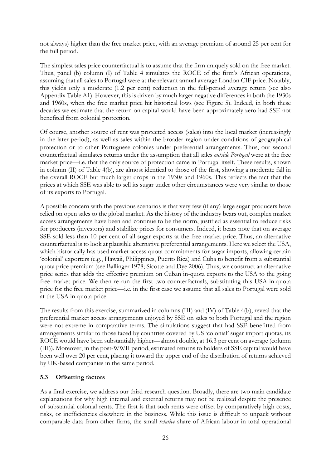not always) higher than the free market price, with an average premium of around 25 per cent for the full period.

The simplest sales price counterfactual is to assume that the firm uniquely sold on the free market. Thus, panel (b) column (I) of Table 4 simulates the ROCE of the firm's African operations, assuming that all sales to Portugal were at the relevant annual average London CIF price. Notably, this yields only a moderate (1.2 per cent) reduction in the full-period average return (see also Appendix Table A1). However, this is driven by much larger negative differences in both the 1930s and 1960s, when the free market price hit historical lows (see Figure 5). Indeed, in both these decades we estimate that the return on capital would have been approximately zero had SSE not benefited from colonial protection.

Of course, another source of rent was protected access (sales) into the local market (increasingly in the later period), as well as sales within the broader region under conditions of geographical protection or to other Portuguese colonies under preferential arrangements. Thus, our second counterfactual simulates returns under the assumption that all sales *outside Portugal* were at the free market price—i.e. that the only source of protection came in Portugal itself. These results, shown in column (II) of Table 4(b), are almost identical to those of the first, showing a moderate fall in the overall ROCE but much larger drops in the 1930s and 1960s. This reflects the fact that the prices at which SSE was able to sell its sugar under other circumstances were very similar to those of its exports to Portugal.

A possible concern with the previous scenarios is that very few (if any) large sugar producers have relied on open sales to the global market. As the history of the industry bears out, complex market access arrangements have been and continue to be the norm, justified as essential to reduce risks for producers (investors) and stabilize prices for consumers. Indeed, it bears note that on average SSE sold less than 10 per cent of all sugar exports at the free market price. Thus, an alternative counterfactual is to look at plausible alternative preferential arrangements. Here we select the USA, which historically has used market access quota commitments for sugar imports, allowing certain 'colonial' exporters (e.g., Hawaii, Philippines, Puerto Rica) and Cuba to benefit from a substantial quota price premium (see Ballinger 1978; Sicotte and Dye 2006). Thus, we construct an alternative price series that adds the effective premium on Cuban in-quota exports to the USA to the going free market price. We then re-run the first two counterfactuals, substituting this USA in-quota price for the free market price—i.e. in the first case we assume that all sales to Portugal were sold at the USA in-quota price.

The results from this exercise, summarized in columns (III) and (IV) of Table 4(b), reveal that the preferential market access arrangements enjoyed by SSE on sales to both Portugal and the region were not extreme in comparative terms. The simulations suggest that had SSE benefitted from arrangements similar to those faced by countries covered by US 'colonial' sugar import quotas, its ROCE would have been substantially higher—almost double, at 16.3 per cent on average (column (III)). Moreover, in the post-WWII period, estimated returns to holders of SSE capital would have been well over 20 per cent, placing it toward the upper end of the distribution of returns achieved by UK-based companies in the same period.

## **5.3 Offsetting factors**

As a final exercise, we address our third research question. Broadly, there are two main candidate explanations for why high internal and external returns may not be realized despite the presence of substantial colonial rents. The first is that such rents were offset by comparatively high costs, risks, or inefficiencies elsewhere in the business. While this issue is difficult to unpack without comparable data from other firms, the small *relative* share of African labour in total operational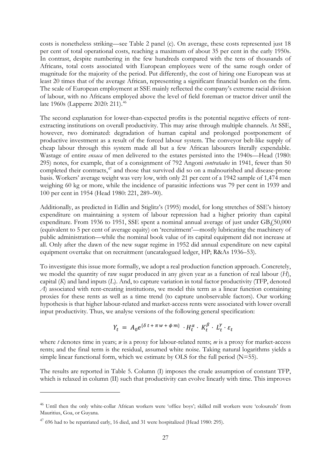costs is nonetheless striking—see Table 2 panel (c). On average, these costs represented just 18 per cent of total operational costs, reaching a maximum of about 35 per cent in the early 1950s. In contrast, despite numbering in the few hundreds compared with the tens of thousands of Africans, total costs associated with European employees were of the same rough order of magnitude for the majority of the period. Put differently, the cost of hiring one European was at least 20 times that of the average African, representing a significant financial burden on the firm. The scale of European employment at SSE mainly reflected the company's extreme racial division of labour, with no Africans employed above the level of field foreman or tractor driver until the late 1960s (Lapperre 2020: 211).<sup>[46](#page-28-0)</sup>

The second explanation for lower-than-expected profits is the potential negative effects of rentextracting institutions on overall productivity. This may arise through multiple channels. At SSE, however, two dominated: degradation of human capital and prolonged postponement of productive investment as a result of the forced labour system. The conveyor belt-like supply of cheap labour through this system made all but a few African labourers literally expendable. Wastage of entire *ensaca* of men delivered to the estates persisted into the 1940s—Head (1980: 295) notes, for example, that of a consignment of 792 Angoni *contratados* in 1941, fewer than 50 completed their contracts, [47](#page-28-1) and those that survived did so on a malnourished and disease-prone basis. Workers' average weight was very low, with only 21 per cent of a 1942 sample of 1,474 men weighing 60 kg or more, while the incidence of parasitic infections was 79 per cent in 1939 and 100 per cent in 1954 (Head 1980: 221, 289–90).

Additionally, as predicted in Edlin and Stiglitz's (1995) model, for long stretches of SSE's history expenditure on maintaining a system of labour repression had a higher priority than capital expenditure. From 1936 to 1951, SSE spent a nominal annual average of just under  $GB/50,000$ (equivalent to 5 per cent of average equity) on 'recruitment'—mostly lubricating the machinery of public administration—while the nominal book value of its capital equipment did not increase at all. Only after the dawn of the new sugar regime in 1952 did annual expenditure on new capital equipment overtake that on recruitment (uncatalogued ledger, HP; R&As 1936–53).

To investigate this issue more formally, we adopt a real production function approach. Concretely, we model the quantity of raw sugar produced in any given year as a function of real labour (*H*), capital (*K*) and land inputs (*L*). And, to capture variation in total factor productivity (TFP, denoted *A*) associated with rent-creating institutions, we model this term as a linear function containing proxies for these rents as well as a time trend (to capture unobservable factors). Our working hypothesis is that higher labour-related and market-access rents were associated with lower overall input productivity. Thus, we analyse versions of the following general specification:

$$
Y_t = A_0 e^{\{\delta t + \pi w + \phi m\}} \cdot H_t^{\alpha} \cdot K_t^{\beta} \cdot L_t^{\gamma} \cdot \varepsilon_t
$$

where *t* denotes time in years; *w* is a proxy for labour-related rents; *m* is a proxy for market-access rents; and the final term is the residual, assumed white noise. Taking natural logarithms yields a simple linear functional form, which we estimate by OLS for the full period (N=55).

The results are reported in Table 5. Column (I) imposes the crude assumption of constant TFP, which is relaxed in column (II) such that productivity can evolve linearly with time. This improves

<span id="page-28-0"></span><sup>46</sup> Until then the only white-collar African workers were 'office boys'; skilled mill workers were 'coloureds' from Mauritius, Goa, or Guyana.

<span id="page-28-1"></span> $47$  696 had to be repatriated early, 16 died, and 31 were hospitalized (Head 1980: 295).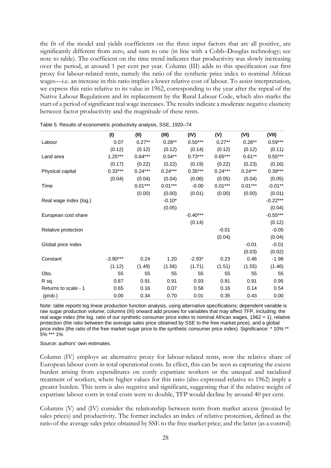the fit of the model and yields coefficients on the three input factors that are all positive, are significantly different from zero, and sum to one (in line with a Cobb–Douglas technology; see note to table). The coefficient on the time trend indicates that productivity was slowly increasing over the period, at around 1 per cent per year. Column (III) adds to this specification our first proxy for labour-related rents, namely the ratio of the synthetic price index to nominal African wages—i.e. an increase in this ratio implies a lower relative cost of labour. To assist interpretation, we express this ratio relative to its value in 1962, corresponding to the year after the repeal of the Native Labour Regulations and its replacement by the Rural Labour Code, which also marks the start of a period of significant real wage increases. The results indicate a moderate negative elasticity between factor productivity and the magnitude of these rents.

|                        | (1)        | (II)      | (III)     | (IV)       | (V)       | (VI)      | (VII)      |
|------------------------|------------|-----------|-----------|------------|-----------|-----------|------------|
| Labour                 | 0.07       | $0.27**$  | $0.28**$  | $0.50***$  | $0.27**$  | $0.28**$  | $0.59***$  |
|                        | (0.12)     | (0.12)    | (0.12)    | (0.14)     | (0.12)    | (0.12)    | (0.11)     |
| Land area              | $1.25***$  | $0.64***$ | $0.54**$  | $0.73***$  | $0.65***$ | $0.61**$  | $0.55***$  |
|                        | (0.17)     | (0.22)    | (0.22)    | (0.19)     | (0.22)    | (0.23)    | (0.16)     |
| Physical capital       | $0.33***$  | $0.24***$ | $0.24***$ | $0.35***$  | $0.24***$ | $0.24***$ | $0.39***$  |
|                        | (0.04)     | (0.04)    | (0.04)    | (0.06)     | (0.05)    | (0.04)    | (0.05)     |
| Time                   |            | $0.01***$ | $0.01***$ | $-0.00$    | $0.01***$ | $0.01***$ | $-0.01**$  |
|                        |            | (0.00)    | (0.00)    | (0.01)     | (0.00)    | (0.00)    | (0.01)     |
| Real wage index (log.) |            |           | $-0.10*$  |            |           |           | $-0.22***$ |
|                        |            |           | (0.05)    |            |           |           | (0.04)     |
| European cost share    |            |           |           | $-0.40***$ |           |           | $-0.55***$ |
|                        |            |           |           | (0.14)     |           |           | (0.12)     |
| Relative protection    |            |           |           |            | $-0.01$   |           | $-0.05$    |
|                        |            |           |           |            | (0.04)    |           | (0.04)     |
| Global price index     |            |           |           |            |           | $-0.01$   | $-0.01$    |
|                        |            |           |           |            |           | (0.03)    | (0.02)     |
| Constant               | $-3.90***$ | 0.24      | 1.20      | $-2.93*$   | 0.23      | 0.46      | $-1.98$    |
|                        | (1.12)     | (1.49)    | (1.56)    | (1.71)     | (1.51)    | (1.55)    | (1.46)     |
| Obs.                   | 55         | 55        | 55        | 55         | 55        | 55        | 55         |
| R sq.                  | 0.87       | 0.91      | 0.91      | 0.93       | 0.91      | 0.91      | 0.95       |
| Returns to scale - 1   | 0.65       | 0.16      | 0.07      | 0.58       | 0.16      | 0.14      | 0.54       |
| (prob.)                | 0.00       | 0.34      | 0.70      | 0.01       | 0.35      | 0.43      | 0.00       |

Table 5: Results of econometric productivity analysis, SSE, 1920–74

Note: table reports log linear production function analysis, using alternative specifications; dependent variable is raw sugar production volume; columns (III) onward add proxies for variables that may affect TFP, including: the real wage index (the log. ratio of our synthetic consumer price index to nominal African wages, 1962 = 1), relative protection (the ratio between the average sales price obtained by SSE to the free market price), and a global price index (the ratio of the free market sugar price to the synthetic consumer price index). Significance: \* 10% \*\* 5% \*\*\* 1%

Source: authors' own estimates.

Column (IV) employs an alternative proxy for labour-related rents, now the relative share of European labour costs in total operational costs. In effect, this can be seen as capturing the excess burden arising from expenditures on costly expatriate workers or the unequal and racialized treatment of workers, where higher values for this ratio (also expressed relative to 1962) imply a greater burden. This term is also negative and significant, suggesting that if the relative weight of expatriate labour costs in total costs were to double, TFP would decline by around 40 per cent.

Columns (V) and (IV) consider the relationship between rents from market access (proxied by sales prices) and productivity. The former includes an index of relative protection, defined as the ratio of the average sales price obtained by SSE to the free market price; and the latter (as a control)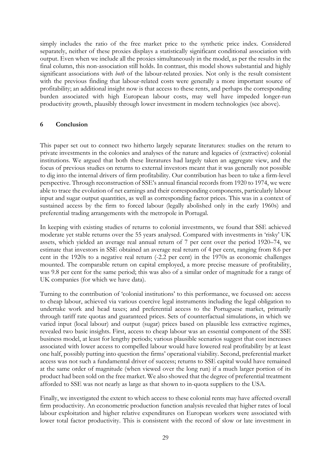simply includes the ratio of the free market price to the synthetic price index. Considered separately, neither of these proxies displays a statistically significant conditional association with output. Even when we include all the proxies simultaneously in the model, as per the results in the final column, this non-association still holds. In contrast, this model shows substantial and highly significant associations with *both* of the labour-related proxies. Not only is the result consistent with the previous finding that labour-related costs were generally a more important source of profitability; an additional insight now is that access to these rents, and perhaps the corresponding burden associated with high European labour costs, may well have impeded longer-run productivity growth, plausibly through lower investment in modern technologies (see above).

#### **6 Conclusion**

This paper set out to connect two hitherto largely separate literatures: studies on the return to private investments in the colonies and analyses of the nature and legacies of (extractive) colonial institutions. We argued that both these literatures had largely taken an aggregate view, and the focus of previous studies on returns to external investors meant that it was generally not possible to dig into the internal drivers of firm profitability. Our contribution has been to take a firm-level perspective. Through reconstruction of SSE's annual financial records from 1920 to 1974, we were able to trace the evolution of net earnings and their corresponding components, particularly labour input and sugar output quantities, as well as corresponding factor prices. This was in a context of sustained access by the firm to forced labour (legally abolished only in the early 1960s) and preferential trading arrangements with the metropole in Portugal.

In keeping with existing studies of returns to colonial investments, we found that SSE achieved moderate yet stable returns over the 55 years analysed. Compared with investments in 'risky' UK assets, which yielded an average real annual return of 7 per cent over the period 1920–74, we estimate that investors in SSE obtained an average real return of 4 per cent, ranging from 8.6 per cent in the 1920s to a negative real return (-2.2 per cent) in the 1970s as economic challenges mounted. The comparable return on capital employed, a more precise measure of profitability, was 9.8 per cent for the same period; this was also of a similar order of magnitude for a range of UK companies (for which we have data).

Turning to the contribution of 'colonial institutions' to this performance, we focussed on: access to cheap labour, achieved via various coercive legal instruments including the legal obligation to undertake work and head taxes; and preferential access to the Portuguese market, primarily through tariff rate quotas and guaranteed prices. Sets of counterfactual simulations, in which we varied input (local labour) and output (sugar) prices based on plausible less extractive regimes, revealed two basic insights. First, access to cheap labour was an essential component of the SSE business model, at least for lengthy periods; various plausible scenarios suggest that cost increases associated with lower access to compelled labour would have lowered real profitability by at least one half, possibly putting into question the firms' operational viability. Second, preferential market access was not such a fundamental driver of success; returns to SSE capital would have remained at the same order of magnitude (when viewed over the long run) if a much larger portion of its product had been sold on the free market. We also showed that the degree of preferential treatment afforded to SSE was not nearly as large as that shown to in-quota suppliers to the USA.

Finally, we investigated the extent to which access to these colonial rents may have affected overall firm productivity. An econometric production function analysis revealed that higher rates of local labour exploitation and higher relative expenditures on European workers were associated with lower total factor productivity. This is consistent with the record of slow or late investment in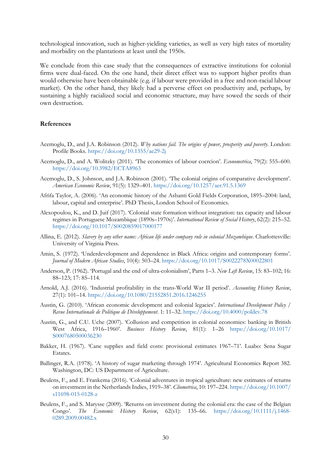technological innovation, such as higher-yielding varieties, as well as very high rates of mortality and morbidity on the plantations at least until the 1950s.

We conclude from this case study that the consequences of extractive institutions for colonial firms were dual-faced. On the one hand, their direct effect was to support higher profits than would otherwise have been obtainable (e.g. if labour were provided in a free and non-racial labour market). On the other hand, they likely had a perverse effect on productivity and, perhaps, by sustaining a highly racialized social and economic structure, may have sowed the seeds of their own destruction.

#### **References**

- Acemoglu, D., and J.A. Robinson (2012). *Why nations fail. The origins of power, prosperity and poverty*. London: Profile Books. <https://doi.org/10.1355/ae29-2j>
- Acemoglu, D., and A. Wolitzky (2011). 'The economics of labour coercion'. *Econometrica*, 79(2): 555–600. <https://doi.org/10.3982/ECTA8963>
- Acemoglu, D., S. Johnson, and J.A. Robinson (2001). 'The colonial origins of comparative development'. *American Economic Review*, 91(5): 1329–401. <https://doi.org/10.1257/aer.91.5.1369>
- Afrifa Taylor, A. (2006). 'An economic history of the Ashanti Gold Fields Corporation, 1895–2004: land, labour, capital and enterprise'. PhD Thesis, London School of Economics.
- Alexopoulou, K., and D. Juif (2017). 'Colonial state formation without integration: tax capacity and labour regimes in Portuguese Mozambique (1890s–1970s)'. *International Review of Social History*, 62(2): 215–52. <https://doi.org/10.1017/S0020859017000177>
- Allina, E. (2012). *Slavery by any other name: African life under company rule in colonial Mozambique*. Charlottesville: University of Virginia Press.
- Amin, S. (1972). 'Underdevelopment and dependence in Black Africa: origins and contemporary forms'. *Journal of Modern African Studies*, 10(4): 503–24. <https://doi.org/10.1017/S0022278X00022801>
- Anderson, P. (1962). 'Portugal and the end of ultra-colonialism', Parts 1–3. *New Left Review*, 15: 83–102; 16: 88–123; 17: 85–114.
- Arnold, A.J. (2016). 'Industrial profitability in the trans-World War II period'. *Accounting History Review*, 27(1): 101–14. <https://doi.org/10.1080/21552851.2016.1246255>
- Austin, G. (2010). 'African economic development and colonial legacies'. *International Development Policy / Revue Internationale de Politique de Développement*. 1: 11–32.<https://doi.org/10.4000/poldev.78>
- Austin, G., and C.U. Uche (2007). 'Collusion and competition in colonial economies: banking in British West Africa, 1916–1960'. *Business History Review*, 81(1): 1–26 [https://doi.org/10.1017/](https://doi.org/10.1017/S0007680500036230) [S0007680500036230](https://doi.org/10.1017/S0007680500036230)
- Bakker, H. (1967). 'Cane supplies and field costs: provisional estimates 1967–71'. Luabo: Sena Sugar Estates.
- Ballinger, R.A. (1978). 'A history of sugar marketing through 1974'. Agricultural Economics Report 382. Washington, DC: US Department of Agriculture.
- Beulens, F., and E. Frankema (2016). 'Colonial adventures in tropical agriculture: new estimates of returns on investment in the Netherlands Indies, 1919–38'. *Cliometrica*, 10: 197–224. [https://doi.org/10.1007/](https://doi.org/10.1007/s11698-015-0128-z) [s11698-015-0128-z](https://doi.org/10.1007/s11698-015-0128-z)
- Beulens, F., and S. Marysse (2009). 'Returns on investment during the colonial era: the case of the Belgian Congo'. *The Economic History Review*, 62(s1): 135–66. [https://doi.org/10.1111/j.1468-](https://doi.org/10.1111/j.1468-0289.2009.00482.x) [0289.2009.00482.x](https://doi.org/10.1111/j.1468-0289.2009.00482.x)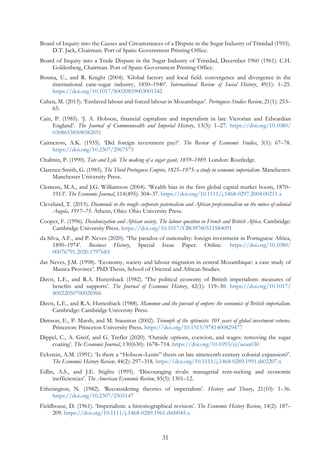- Board of Inquiry into the Causes and Circumstances of a Dispute in the Sugar Industry of Trinidad (1955). D.T. Jack, Chairman. Port of Spain: Government Printing Office.
- Board of Inquiry into a Trade Dispute in the Sugar Industry of Trinidad, December 1960 (1961). C.H. Goldenberg, Chairman. Port of Spain: Government Printing Office.
- Bosma, U., and R. Knight (2004). 'Global factory and local field: convergence and divergence in the international cane-sugar industry, 1850–1940'. *International Review of Social History*, 49(1): 1–25. <https://doi.org/10.1017/S0020859003001342>
- Cahen, M. (2013). 'Enslaved labour and forced labour in Mozambique'. *Portuguese Studies Review*, 21(1): 253– 65.
- Cain, P. (1985). 'J. A. Hobson, financial capitalism and imperialism in late Victorian and Edwardian England'. *The Journal of Commonwealth and Imperial History*, 13(3): 1–27. [https://doi.org/10.1080/](https://doi.org/10.1080/03086538508582691) [03086538508582691](https://doi.org/10.1080/03086538508582691)
- Cairncross, A.K. (1935). 'Did foreign investment pay?'. *The Review of Economic Studies*, 3(1): 67–78. <https://doi.org/10.2307/2967573>
- Chalmin, P. (1990). *Tate and Lyle. The making of a sugar giant, 1859–1989*. London: Routledge.
- Clarence-Smith, G. (1985). *The Third Portuguese Empire, 1825–1975: a study in economic imperialism*. Manchester: Manchester University Press.
- Clemens, M.A., and J.G. Williamson (2004). 'Wealth bias in the first global capital market boom, 1870– 1913'. *The Economic Journal*, 114(495): 304–37. <https://doi.org/10.1111/j.1468-0297.2004.00211.x>
- Cleveland, T. (2015). *Diamonds in the rough: corporate paternalism and African professionalism on the mines of colonial Angola, 1917–75*. Athens, Ohio: Ohio University Press.
- Cooper, F. (1996). *Decolonization and African society. The labour question in French and British Africa*. Cambridge: Cambridge University Press. <https://doi.org/10.1017/CBO9780511584091>
- da Silva, A.F., and P. Neves (2020). 'The paradox of nationality: foreign investment in Portuguese Africa, 1890–1974'. *Business History*, Special Issue Paper. Online. [https://doi.org/10.1080/](https://doi.org/10.1080/00076791.2020.1797683) [00076791.2020.1797683](https://doi.org/10.1080/00076791.2020.1797683)
- das Neves, J.M. (1998). 'Economy, society and labour migration in central Mozambique: a case study of Manica Province'. PhD Thesis, School of Oriental and African Studies.
- Davis, L.E., and R.A. Huttenback (1982). 'The political economy of British imperialism: measures of benefits and supports'. *The Journal of Economic History*, 42(1): 119–30. [https://doi.org/10.1017/](https://doi.org/10.1017/S0022050700026966) [S0022050700026966](https://doi.org/10.1017/S0022050700026966)
- Davis, L.E., and R.A. Huttenback (1988). *Mammon and the pursuit of empire: the economics of British imperialism*. Cambridge: Cambridge University Press.
- Dimson, E., P. Marsh, and M. Staunton (2002). *Triumph of the optimists: 101 years of global investment returns*. Princeton: Princeton University Press. <https://doi.org/10.1515/9781400829477>
- Dippel, C., A. Greif, and G. Trefler (2020). 'Outside options, coercion, and wages: removing the sugar coating'. *The Economic Journal*, 130(630): 1678–714. <https://doi.org/10.1093/ej/ueaa030>
- Eckstein, A.M. (1991). 'Is there a "Hobson–Lenin" thesis on late nineteenth century colonial expansion?'. *The Economic History Review*, 44(2): 297–318. <https://doi.org/10.1111/j.1468-0289.1991.tb02207.x>
- Edlin, A.S., and J.E. Stiglitz (1995). 'Discouraging rivals: managerial rent-seeking and economic inefficiencies'. *The American Economic Review*, 85(5): 1301–12.
- Etherington, N. (1982). 'Reconsidering theories of imperialism'. *History and Theory*, 21(10): 1–36. <https://doi.org/10.2307/2505147>
- Fieldhouse, D. (1961). 'Imperialism: a historiographical revision'. *The Economic History Review*, 14(2): 187– 209. <https://doi.org/10.1111/j.1468-0289.1961.tb00045.x>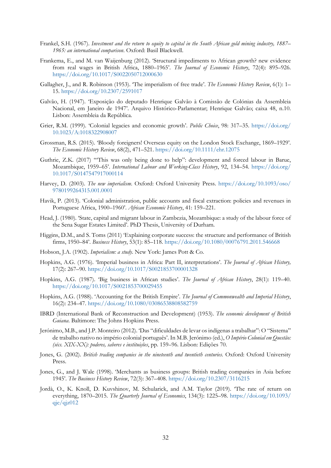- Frankel, S.H. (1967). *Investment and the return to equity to capital in the South African gold mining industry, 1887– 1965: an international comparison*. Oxford: Basil Blackwell.
- Frankema, E., and M. van Waijenburg (2012). 'Structural impediments to African growth? new evidence from real wages in British Africa, 1880–1965'. *The Journal of Economic History*, 72(4): 895–926. <https://doi.org/10.1017/S0022050712000630>
- Gallagher, J., and R. Robinson (1953). 'The imperialism of free trade'. *The Economic History Review*, 6(1): 1– 15. <https://doi.org/10.2307/2591017>
- Galvão, H. (1947). 'Exposição do deputado Henrique Galvão à Comissão de Colónias da Assembleia Nacional, em Janeiro de 1947'. Arquivo Histórico-Parlamentar; Henrique Galvão; caixa 48, n.10. Lisbon: Assembleia da República.
- Grier, R.M. (1999). 'Colonial legacies and economic growth'. *Public Choice*, 98: 317–35. [https://doi.org/](https://doi.org/10.1023/A:1018322908007) [10.1023/A:1018322908007](https://doi.org/10.1023/A:1018322908007)
- Grossman, R.S. (2015). 'Bloody foreigners! Overseas equity on the London Stock Exchange, 1869–1929'. *The Economic History Review*, 68(2), 471–521. <https://doi.org/10.1111/ehr.12075>
- Guthrie, Z.K. (2017) '"This was only being done to help": development and forced labour in Barue, Mozambique, 1959–65'. *International Labour and Working-Class History*, 92, 134–54. [https://doi.org/](https://doi.org/10.1017/S0147547917000114) [10.1017/S0147547917000114](https://doi.org/10.1017/S0147547917000114)
- Harvey, D. (2003). *The new imperialism*. Oxford: Oxford University Press. [https://doi.org/10.1093/oso/](https://doi.org/10.1093/oso/9780199264315.001.0001) [9780199264315.001.0001](https://doi.org/10.1093/oso/9780199264315.001.0001)
- Havik, P. (2013). 'Colonial administration, public accounts and fiscal extraction: policies and revenues in Portuguese Africa, 1900–1960'. *African Economic History*, 41: 159–221.
- Head, J. (1980). 'State, capital and migrant labour in Zambezia, Mozambique: a study of the labour force of the Sena Sugar Estates Limited'. PhD Thesis, University of Durham.
- Higgins, D.M., and S. Toms (2011) 'Explaining corporate success: the structure and performance of British firms, 1950–84'. *Business History*, 53(1): 85–118. <https://doi.org/10.1080/00076791.2011.546668>
- Hobson, J.A. (1902). *Imperialism: a study*. New York: James Pott & Co.
- Hopkins, A.G. (1976). 'Imperial business in Africa: Part II, interpretations'. *The Journal of African History,* 17(2): 267–90. <https://doi.org/10.1017/S0021853700001328>
- Hopkins, A.G. (1987). 'Big business in African studies'. *The Journal of African History*, 28(1): 119–40. <https://doi.org/10.1017/S0021853700029455>
- Hopkins, A.G. (1988). 'Accounting for the British Empire'. *The Journal of Commonwealth and Imperial History*, 16(2): 234–47. <https://doi.org/10.1080/03086538808582759>
- IBRD (International Bank of Reconstruction and Development) (1953). *The economic development of British Guiana*. Baltimore: The Johns Hopkins Press.
- Jerónimo, M.B., and J.P. Monteiro (2012). 'Das "dificuldades de levar os indígenas a trabalhar": O "Sistema" de trabalho nativo no império colonial português'. In M.B. Jerónimo (ed.), *O Império Colonial em Questão: (sécs. XIX-XX): poderes, saberes e instituições*, pp. 159–96. Lisbon: Edições 70.
- Jones, G. (2002). *British trading companies in the nineteenth and twentieth centuries*. Oxford: Oxford University Press.
- Jones, G., and J. Wale (1998). 'Merchants as business groups: British trading companies in Asia before 1945'. *The Business History Review*, 72(3): 367–408. <https://doi.org/10.2307/3116215>
- Jordà, O., K. Knoll, D. Kuvshinov, M. Schularick, and A.M. Taylor (2019). 'The rate of return on everything, 1870–2015. *The Quarterly Journal of Economics*, 134(3): 1225–98. [https://doi.org/10.1093/](https://doi.org/10.1093/qje/qjz012)  $qje/qjz012$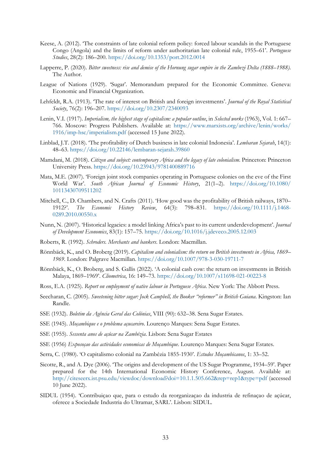- Keese, A. (2012). 'The constraints of late colonial reform policy: forced labour scandals in the Portuguese Congo (Angola) and the limits of reform under authoritarian late colonial rule, 1955–61'. *Portuguese Studies*, 28(2): 186–200. <https://doi.org/10.1353/port.2012.0014>
- Lapperre, P. (2020). *Bitter sweetness: rise and demise of the Hornung sugar empire in the Zambezi Delta (1888–1988)*. The Author.
- League of Nations (1929). 'Sugar'. Memorandum prepared for the Economic Committee. Geneva: Economic and Financial Organization.
- Lehfeldt, R.A. (1913). 'The rate of interest on British and foreign investments'. *Journal of the Royal Statistical Society*, 76(2): 196–207. <https://doi.org/10.2307/2340093>
- Lenin, V.I. (1917). *Imperialism, the highest stage of capitalism: a popular outline*, in *Selected works* (1963), Vol. 1: 667– 766. Moscow: Progress Publishers. Available at: [https://www.marxists.org/archive/lenin/works/](https://www.marxists.org/archive/lenin/works/1916/imp-hsc/imperialism.pdf) [1916/imp-hsc/imperialism.pdf](https://www.marxists.org/archive/lenin/works/1916/imp-hsc/imperialism.pdf) (accessed 15 June 2022).
- Linblad, J.T. (2018). 'The profitability of Dutch business in late colonial Indonesia'. *Lembaran Sejarah*, 14(1): 48–63. <https://doi.org/10.22146/lembaran-sejarah.39860>
- Mamdani, M. (2018). *Citizen and subject: contemporary Africa and the legacy of late colonialism*. Princeton: Princeton University Press. <https://doi.org/10.23943/9781400889716>
- Mata, M.E. (2007). 'Foreign joint stock companies operating in Portuguese colonies on the eve of the First World War'. *South African Journal of Economic History*, 21(1–2). [https://doi.org/10.1080/](https://doi.org/10.1080/10113430709511202) [10113430709511202](https://doi.org/10.1080/10113430709511202)
- Mitchell, C., D. Chambers, and N. Crafts (2011). 'How good was the profitability of British railways, 1870– 1912?'. *The Economic History Review*, 64(3): 798–831. [https://doi.org/10.1111/j.1468-](https://doi.org/10.1111/j.1468-0289.2010.00550.x) [0289.2010.00550.x](https://doi.org/10.1111/j.1468-0289.2010.00550.x)
- Nunn, N. (2007). 'Historical legacies: a model linking Africa's past to its current underdevelopment'. *Journal of Development Economics*, 83(1): 157–75. <https://doi.org/10.1016/j.jdeveco.2005.12.003>
- Roberts, R. (1992). *Schroders. Merchants and bankers*. London: Macmillan.
- Rönnbäck, K., and O. Broberg (2019). *Capitalism and colonialism: the return on British investments in Africa, 1869– 1969*. London: Palgrave Macmillan. <https://doi.org/10.1007/978-3-030-19711-7>
- Rönnbäck, K., O. Broberg, and S. Gallis (2022). 'A colonial cash cow: the return on investments in British Malaya, 1869–1969'. *Cliometrica*, 16: 149–73. <https://doi.org/10.1007/s11698-021-00223-8>
- Ross, E.A. (1925). *Report on employment of native labour in Portuguese Africa*. New York: The Abbott Press.
- Seecharan, C. (2005). *Sweetening bitter sugar: Jock Campbell, the Booker "reformer" in British Guiana*. Kingston: Ian Randle.
- SSE (1932). *Boletim da Agência Geral das Colónias*, VIII (90): 632–38. Sena Sugar Estates.
- SSE (1945). *Moçambique e o problema açucareiro*. Lourenço Marques: Sena Sugar Estates.
- SSE (1955). *Sessenta anos de açúcar na Zambézia*. Lisbon: Sena Sugar Estates
- SSE (1956) *Exposoçao das actividades economicas de Moçambique*. Lourenço Marques: Sena Sugar Estates.
- Serra, C. (1980). 'O capitalismo colonial na Zambézia 1855-1930'. *Estudos Moçambicanos*, 1: 33–52.
- Sicotte, R., and A. Dye (2006). 'The origins and development of the US Sugar Programme, 1934–59'. Paper prepared for the 14th International Economic History Conference, August. Available at: <http://citeseerx.ist.psu.edu/viewdoc/download?doi=10.1.1.505.662&rep=rep1&type=pdf> (accessed 10 June 2022).
- SIDUL (1954). 'Contribuiçao que, para o estudo da reorganizaçao da industria de refinaçao de açúcar, oferece a Sociedade Industria do Ultramar, SARL'. Lisbon: SIDUL.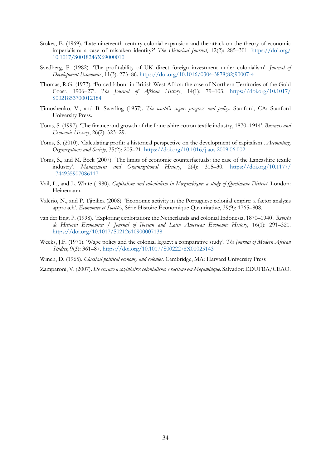- Stokes, E. (1969). 'Late nineteenth-century colonial expansion and the attack on the theory of economic imperialism: a case of mistaken identity?' *The Historical Journal*, 12(2): 285–301. [https://doi.org/](https://doi.org/10.1017/S0018246X69000010) [10.1017/S0018246X69000010](https://doi.org/10.1017/S0018246X69000010)
- Svedberg, P. (1982). 'The profitability of UK direct foreign investment under colonialism'. *Journal of Development Economics*, 11(3): 273–86. [https://doi.org/10.1016/0304-3878\(82\)90007-4](https://doi.org/10.1016/0304-3878(82)90007-4)
- Thomas, R.G. (1973). 'Forced labour in British West Africa: the case of Northern Territories of the Gold Coast, 1906–27'. *The Journal of African History*, 14(1): 79–103. [https://doi.org/10.1017/](https://doi.org/10.1017/S0021853700012184) [S0021853700012184](https://doi.org/10.1017/S0021853700012184)
- Timoshenko, V., and B. Swerling (1957). *The world's sugar: progress and policy*. Stanford, CA: Stanford University Press.
- Toms, S. (1997). 'The finance and growth of the Lancashire cotton textile industry, 1870–1914'. *Business and Economic History*, 26(2): 323–29.
- Toms, S. (2010). 'Calculating profit: a historical perspective on the development of capitalism'. *Accounting, Organizations and Society*, 35(2): 205–21. <https://doi.org/10.1016/j.aos.2009.06.002>
- Toms, S., and M. Beck (2007). 'The limits of economic counterfactuals: the case of the Lancashire textile industry'. *Management and Organizational History*, 2(4): 315–30. [https://doi.org/10.1177/](https://doi.org/10.1177/1744935907086117) [1744935907086117](https://doi.org/10.1177/1744935907086117)
- Vail, L., and L. White (1980). *Capitalism and colonialism in Mozambique: a study of Quelimane District*. London: Heinemann.
- Valério, N., and P. Tjipilica (2008). 'Economic activity in the Portuguese colonial empire: a factor analysis approach'. *Économies et Sociétés*, Série Histoire Économique Quantitative, 39(9): 1765–808.
- van der Eng, P. (1998). 'Exploring exploitation: the Netherlands and colonial Indonesia, 1870–1940'. *Revista de Historia Economica / Journal of Iberian and Latin American Economic History*, 16(1): 291–321. <https://doi.org/10.1017/S0212610900007138>
- Weeks, J.F. (1971). 'Wage policy and the colonial legacy: a comparative study'. *The Journal of Modern African Studies*, 9(3): 361–87. <https://doi.org/10.1017/S0022278X00025143>
- Winch, D. (1965). *Classical political economy and colonies*. Cambridge, MA: Harvard University Press
- Zamparoni, V. (2007). *De escravo a cozinheiro: colonialismo e racismo em Moçambique*. Salvador: EDUFBA/CEAO.